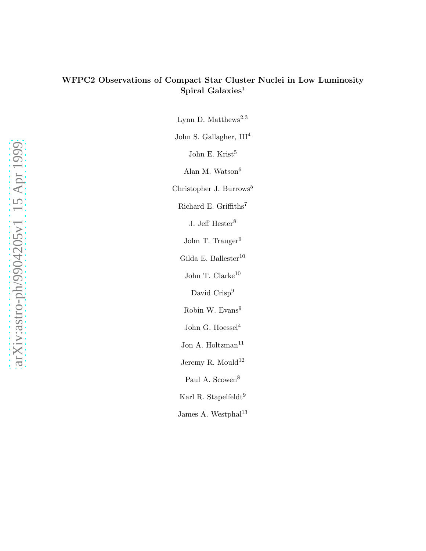# WFPC2 Observations of Compact Star Cluster Nuclei in Low Luminosity Spiral Galaxies<sup>1</sup>

Lynn D. Matthews<sup>2,3</sup>

John S. Gallagher, III<sup>4</sup>

John E. Krist<sup>5</sup>

Alan M. Watson<br/> $\!6\,$ 

Christopher J. Burrows<sup>5</sup>

Richard E. Griffiths $\rm ^7$ 

J. Jeff $\text{Hester}^8$ 

John T. Trauger<sup>9</sup>

Gilda E. Ballester $^{10}$ 

John T. Clarke $^{10}$ 

David Crisp<sup>9</sup>

Robin W. Evans<sup>9</sup>

John G. Hoessel<sup>4</sup>

Jon A. Holtzman<sup>11</sup>

Jeremy R. Mould<sup>12</sup>

Paul A. Scowen<sup>8</sup>

Karl R. Stapelfeldt<sup>9</sup>

James A. Westphal $^{13}$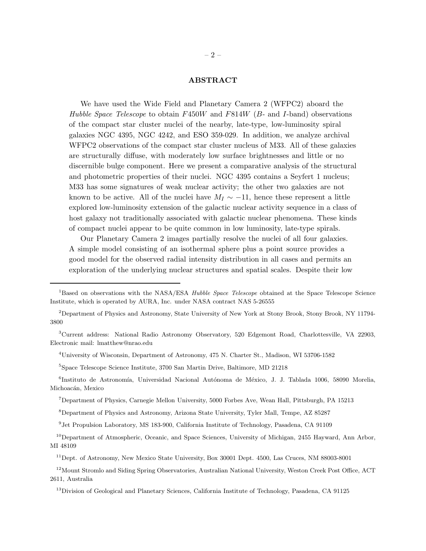## ABSTRACT

We have used the Wide Field and Planetary Camera 2 (WFPC2) aboard the *Hubble Space Telescope* to obtain F450W and F814W (B- and I-band) observations of the compact star cluster nuclei of the nearby, late-type, low-luminosity spiral galaxies NGC 4395, NGC 4242, and ESO 359-029. In addition, we analyze archival WFPC2 observations of the compact star cluster nucleus of M33. All of these galaxies are structurally diffuse, with moderately low surface brightnesses and little or no discernible bulge component. Here we present a comparative analysis of the structural and photometric properties of their nuclei. NGC 4395 contains a Seyfert 1 nucleus; M33 has some signatures of weak nuclear activity; the other two galaxies are not known to be active. All of the nuclei have  $M_I \sim -11$ , hence these represent a little explored low-luminosity extension of the galactic nuclear activity sequence in a class of host galaxy not traditionally associated with galactic nuclear phenomena. These kinds of compact nuclei appear to be quite common in low luminosity, late-type spirals.

Our Planetary Camera 2 images partially resolve the nuclei of all four galaxies. A simple model consisting of an isothermal sphere plus a point source provides a good model for the observed radial intensity distribution in all cases and permits an exploration of the underlying nuclear structures and spatial scales. Despite their low

<sup>4</sup>University of Wisconsin, Department of Astronomy, 475 N. Charter St., Madison, WI 53706-1582

<sup>5</sup>Space Telescope Science Institute, 3700 San Martin Drive, Baltimore, MD 21218

<sup>6</sup>Instituto de Astronomía, Universidad Nacional Autónoma de México, J. J. Tablada 1006, 58090 Morelia, Michoacán, Mexico

<sup>8</sup>Department of Physics and Astronomy, Arizona State University, Tyler Mall, Tempe, AZ 85287

<sup>9</sup> Jet Propulsion Laboratory, MS 183-900, California Institute of Technology, Pasadena, CA 91109

<sup>10</sup>Department of Atmospheric, Oceanic, and Space Sciences, University of Michigan, 2455 Hayward, Ann Arbor, MI 48109

<sup>11</sup>Dept. of Astronomy, New Mexico State University, Box 30001 Dept. 4500, Las Cruces, NM 88003-8001

<sup>12</sup> Mount Stromlo and Siding Spring Observatories, Australian National University, Weston Creek Post Office, ACT 2611, Australia

<sup>13</sup>Division of Geological and Planetary Sciences, California Institute of Technology, Pasadena, CA 91125

<sup>&</sup>lt;sup>1</sup>Based on observations with the NASA/ESA *Hubble Space Telescope* obtained at the Space Telescope Science Institute, which is operated by AURA, Inc. under NASA contract NAS 5-26555

<sup>2</sup>Department of Physics and Astronomy, State University of New York at Stony Brook, Stony Brook, NY 11794- 3800

<sup>3</sup>Current address: National Radio Astronomy Observatory, 520 Edgemont Road, Charlottesville, VA 22903, Electronic mail: lmatthew@nrao.edu

<sup>7</sup>Department of Physics, Carnegie Mellon University, 5000 Forbes Ave, Wean Hall, Pittsburgh, PA 15213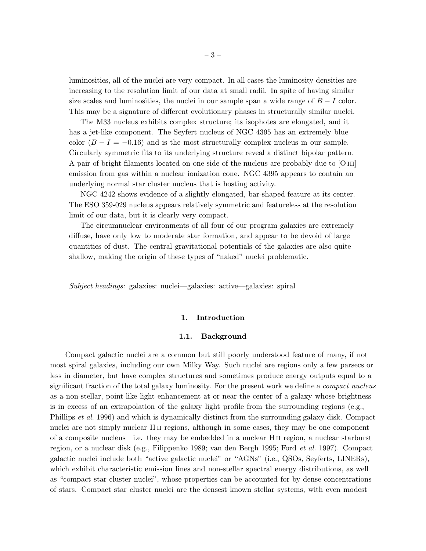luminosities, all of the nuclei are very compact. In all cases the luminosity densities are increasing to the resolution limit of our data at small radii. In spite of having similar size scales and luminosities, the nuclei in our sample span a wide range of  $B - I$  color. This may be a signature of different evolutionary phases in structurally similar nuclei.

The M33 nucleus exhibits complex structure; its isophotes are elongated, and it has a jet-like component. The Seyfert nucleus of NGC 4395 has an extremely blue color  $(B - I = -0.16)$  and is the most structurally complex nucleus in our sample. Circularly symmetric fits to its underlying structure reveal a distinct bipolar pattern. A pair of bright filaments located on one side of the nucleus are probably due to [O iii] emission from gas within a nuclear ionization cone. NGC 4395 appears to contain an underlying normal star cluster nucleus that is hosting activity.

NGC 4242 shows evidence of a slightly elongated, bar-shaped feature at its center. The ESO 359-029 nucleus appears relatively symmetric and featureless at the resolution limit of our data, but it is clearly very compact.

The circumnuclear environments of all four of our program galaxies are extremely diffuse, have only low to moderate star formation, and appear to be devoid of large quantities of dust. The central gravitational potentials of the galaxies are also quite shallow, making the origin of these types of "naked" nuclei problematic.

*Subject headings:* galaxies: nuclei—galaxies: active—galaxies: spiral

## 1. Introduction

#### 1.1. Background

Compact galactic nuclei are a common but still poorly understood feature of many, if not most spiral galaxies, including our own Milky Way. Such nuclei are regions only a few parsecs or less in diameter, but have complex structures and sometimes produce energy outputs equal to a significant fraction of the total galaxy luminosity. For the present work we define a *compact nucleus* as a non-stellar, point-like light enhancement at or near the center of a galaxy whose brightness is in excess of an extrapolation of the galaxy light profile from the surrounding regions (e.g., Phillips *et al.* 1996) and which is dynamically distinct from the surrounding galaxy disk. Compact nuclei are not simply nuclear H<sub>II</sub> regions, although in some cases, they may be one component of a composite nucleus—i.e. they may be embedded in a nuclear H ii region, a nuclear starburst region, or a nuclear disk (e.g., Filippenko 1989; van den Bergh 1995; Ford *et al.* 1997). Compact galactic nuclei include both "active galactic nuclei" or "AGNs" (i.e., QSOs, Seyferts, LINERs), which exhibit characteristic emission lines and non-stellar spectral energy distributions, as well as "compact star cluster nuclei", whose properties can be accounted for by dense concentrations of stars. Compact star cluster nuclei are the densest known stellar systems, with even modest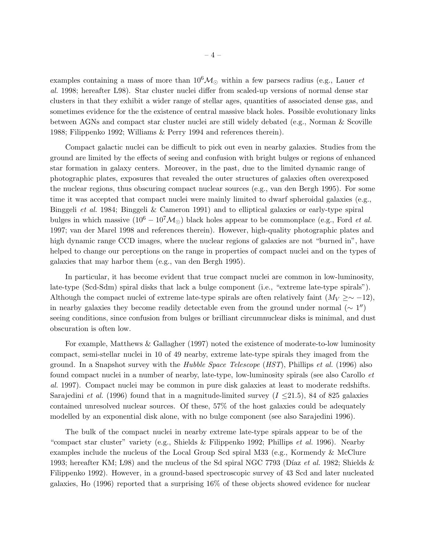examples containing a mass of more than  $10^6M_{\odot}$  within a few parsecs radius (e.g., Lauer *et al.* 1998; hereafter L98). Star cluster nuclei differ from scaled-up versions of normal dense star clusters in that they exhibit a wider range of stellar ages, quantities of associated dense gas, and sometimes evidence for the the existence of central massive black holes. Possible evolutionary links between AGNs and compact star cluster nuclei are still widely debated (e.g., Norman & Scoville 1988; Filippenko 1992; Williams & Perry 1994 and references therein).

Compact galactic nuclei can be difficult to pick out even in nearby galaxies. Studies from the ground are limited by the effects of seeing and confusion with bright bulges or regions of enhanced star formation in galaxy centers. Moreover, in the past, due to the limited dynamic range of photographic plates, exposures that revealed the outer structures of galaxies often overexposed the nuclear regions, thus obscuring compact nuclear sources (e.g., van den Bergh 1995). For some time it was accepted that compact nuclei were mainly limited to dwarf spheroidal galaxies (e.g., Binggeli *et al.* 1984; Binggeli & Cameron 1991) and to elliptical galaxies or early-type spiral bulges in which massive  $(10^6 - 10^7 \mathcal{M}_{\odot})$  black holes appear to be commonplace (e.g., Ford *et al.*) 1997; van der Marel 1998 and references therein). However, high-quality photographic plates and high dynamic range CCD images, where the nuclear regions of galaxies are not "burned in", have helped to change our perceptions on the range in properties of compact nuclei and on the types of galaxies that may harbor them (e.g., van den Bergh 1995).

In particular, it has become evident that true compact nuclei are common in low-luminosity, late-type (Scd-Sdm) spiral disks that lack a bulge component (i.e., "extreme late-type spirals"). Although the compact nuclei of extreme late-type spirals are often relatively faint  $(M_V \geq \sim -12)$ , in nearby galaxies they become readily detectable even from the ground under normal  $(\sim 1'')$ seeing conditions, since confusion from bulges or brilliant circumnuclear disks is minimal, and dust obscuration is often low.

For example, Matthews & Gallagher (1997) noted the existence of moderate-to-low luminosity compact, semi-stellar nuclei in 10 of 49 nearby, extreme late-type spirals they imaged from the ground. In a Snapshot survey with the *Hubble Space Telescope* (*HST*), Phillips *et al.* (1996) also found compact nuclei in a number of nearby, late-type, low-luminosity spirals (see also Carollo *et al.* 1997). Compact nuclei may be common in pure disk galaxies at least to moderate redshifts. Sarajedini *et al.* (1996) found that in a magnitude-limited survey  $(I \le 21.5)$ , 84 of 825 galaxies contained unresolved nuclear sources. Of these, 57% of the host galaxies could be adequately modelled by an exponential disk alone, with no bulge component (see also Sarajedini 1996).

The bulk of the compact nuclei in nearby extreme late-type spirals appear to be of the "compact star cluster" variety (e.g., Shields & Filippenko 1992; Phillips *et al.* 1996). Nearby examples include the nucleus of the Local Group Scd spiral M33 (e.g., Kormendy & McClure 1993; hereafter KM; L98) and the nucleus of the Sd spiral NGC 7793 (Díaz *et al.* 1982; Shields & Filippenko 1992). However, in a ground-based spectroscopic survey of 43 Scd and later nucleated galaxies, Ho (1996) reported that a surprising 16% of these objects showed evidence for nuclear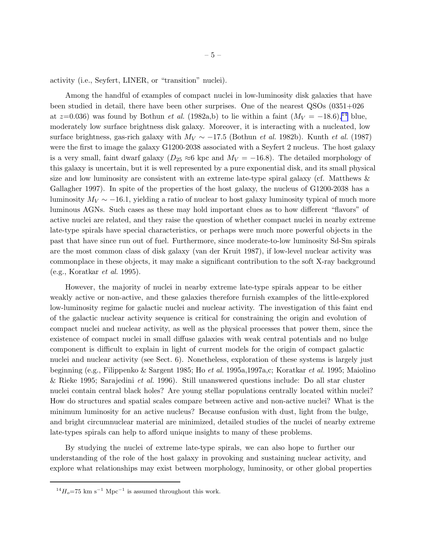activity (i.e., Seyfert, LINER, or "transition" nuclei).

Among the handful of examples of compact nuclei in low-luminosity disk galaxies that have been studied in detail, there have been other surprises. One of the nearest QSOs (0351+026 at  $z=0.036$ ) was found by Bothun *et al.* (1982a,b) to lie within a faint  $(M_V = -18.6),^{14}$  blue, moderately low surface brightness disk galaxy. Moreover, it is interacting with a nucleated, low surface brightness, gas-rich galaxy with M<sup>V</sup> ∼ −17.5 (Bothun *et al.* 1982b). Kunth *et al.* (1987) were the first to image the galaxy G1200-2038 associated with a Seyfert 2 nucleus. The host galaxy is a very small, faint dwarf galaxy ( $D_{25} \approx 6$  kpc and  $M_V = -16.8$ ). The detailed morphology of this galaxy is uncertain, but it is well represented by a pure exponential disk, and its small physical size and low luminosity are consistent with an extreme late-type spiral galaxy (cf. Matthews  $\&$ Gallagher 1997). In spite of the properties of the host galaxy, the nucleus of G1200-2038 has a luminosity  $M_V \sim -16.1$ , yielding a ratio of nuclear to host galaxy luminosity typical of much more luminous AGNs. Such cases as these may hold important clues as to how different "flavors" of active nuclei are related, and they raise the question of whether compact nuclei in nearby extreme late-type spirals have special characteristics, or perhaps were much more powerful objects in the past that have since run out of fuel. Furthermore, since moderate-to-low luminosity Sd-Sm spirals are the most common class of disk galaxy (van der Kruit 1987), if low-level nuclear activity was commonplace in these objects, it may make a significant contribution to the soft X-ray background (e.g., Koratkar *et al.* 1995).

However, the majority of nuclei in nearby extreme late-type spirals appear to be either weakly active or non-active, and these galaxies therefore furnish examples of the little-explored low-luminosity regime for galactic nuclei and nuclear activity. The investigation of this faint end of the galactic nuclear activity sequence is critical for constraining the origin and evolution of compact nuclei and nuclear activity, as well as the physical processes that power them, since the existence of compact nuclei in small diffuse galaxies with weak central potentials and no bulge component is difficult to explain in light of current models for the origin of compact galactic nuclei and nuclear activity (see Sect. 6). Nonetheless, exploration of these systems is largely just beginning (e.g., Filippenko & Sargent 1985; Ho *et al.* 1995a,1997a,c; Koratkar *et al.* 1995; Maiolino & Rieke 1995; Sarajedini *et al.* 1996). Still unanswered questions include: Do all star cluster nuclei contain central black holes? Are young stellar populations centrally located within nuclei? How do structures and spatial scales compare between active and non-active nuclei? What is the minimum luminosity for an active nucleus? Because confusion with dust, light from the bulge, and bright circumnuclear material are minimized, detailed studies of the nuclei of nearby extreme late-types spirals can help to afford unique insights to many of these problems.

By studying the nuclei of extreme late-type spirals, we can also hope to further our understanding of the role of the host galaxy in provoking and sustaining nuclear activity, and explore what relationships may exist between morphology, luminosity, or other global properties

 $^{14}H_o$  =75 km  $\rm s^{-1}$  Mpc $^{-1}$  is assumed throughout this work.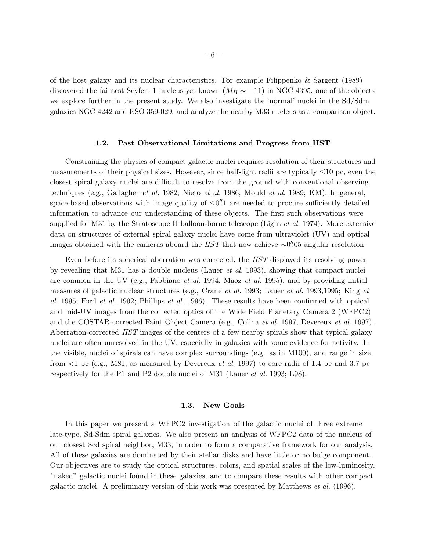of the host galaxy and its nuclear characteristics. For example Filippenko & Sargent (1989) discovered the faintest Seyfert 1 nucleus yet known ( $M_B \sim -11$ ) in NGC 4395, one of the objects we explore further in the present study. We also investigate the 'normal' nuclei in the Sd/Sdm galaxies NGC 4242 and ESO 359-029, and analyze the nearby M33 nucleus as a comparison object.

#### 1.2. Past Observational Limitations and Progress from HST

Constraining the physics of compact galactic nuclei requires resolution of their structures and measurements of their physical sizes. However, since half-light radii are typically  $\leq 10$  pc, even the closest spiral galaxy nuclei are difficult to resolve from the ground with conventional observing techniques (e.g., Gallagher *et al.* 1982; Nieto *et al.* 1986; Mould *et al.* 1989; KM). In general, space-based observations with image quality of  $\leq 0$ ''. The needed to procure sufficiently detailed information to advance our understanding of these objects. The first such observations were supplied for M31 by the Stratoscope II balloon-borne telescope (Light *et al.* 1974). More extensive data on structures of external spiral galaxy nuclei have come from ultraviolet (UV) and optical images obtained with the cameras aboard the  $HST$  that now achieve  $\sim 0''$ .05 angular resolution.

Even before its spherical aberration was corrected, the *HST* displayed its resolving power by revealing that M31 has a double nucleus (Lauer *et al.* 1993), showing that compact nuclei are common in the UV (e.g., Fabbiano *et al.* 1994, Maoz *et al.* 1995), and by providing initial measures of galactic nuclear structures (e.g., Crane *et al.* 1993; Lauer *et al.* 1993,1995; King *et al.* 1995; Ford *et al.* 1992; Phillips *et al.* 1996). These results have been confirmed with optical and mid-UV images from the corrected optics of the Wide Field Planetary Camera 2 (WFPC2) and the COSTAR-corrected Faint Object Camera (e.g., Colina *et al.* 1997, Devereux *et al.* 1997). Aberration-corrected *HST* images of the centers of a few nearby spirals show that typical galaxy nuclei are often unresolved in the UV, especially in galaxies with some evidence for activity. In the visible, nuclei of spirals can have complex surroundings (e.g. as in M100), and range in size from <1 pc (e.g., M81, as measured by Devereux *et al.* 1997) to core radii of 1.4 pc and 3.7 pc respectively for the P1 and P2 double nuclei of M31 (Lauer *et al.* 1993; L98).

## 1.3. New Goals

In this paper we present a WFPC2 investigation of the galactic nuclei of three extreme late-type, Sd-Sdm spiral galaxies. We also present an analysis of WFPC2 data of the nucleus of our closest Scd spiral neighbor, M33, in order to form a comparative framework for our analysis. All of these galaxies are dominated by their stellar disks and have little or no bulge component. Our objectives are to study the optical structures, colors, and spatial scales of the low-luminosity, "naked" galactic nuclei found in these galaxies, and to compare these results with other compact galactic nuclei. A preliminary version of this work was presented by Matthews *et al.* (1996).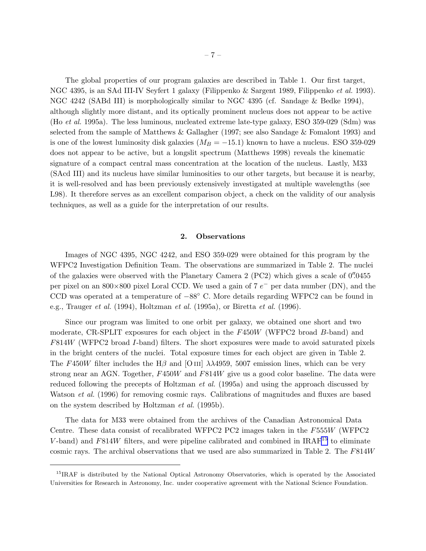The global properties of our program galaxies are described in Table 1. Our first target, NGC 4395, is an SAd III-IV Seyfert 1 galaxy (Filippenko & Sargent 1989, Filippenko *et al.* 1993). NGC 4242 (SABd III) is morphologically similar to NGC 4395 (cf. Sandage & Bedke 1994), although slightly more distant, and its optically prominent nucleus does not appear to be active (Ho *et al.* 1995a). The less luminous, nucleated extreme late-type galaxy, ESO 359-029 (Sdm) was selected from the sample of Matthews & Gallagher (1997; see also Sandage & Fomalont 1993) and is one of the lowest luminosity disk galaxies  $(M_B = -15.1)$  known to have a nucleus. ESO 359-029 does not appear to be active, but a longslit spectrum (Matthews 1998) reveals the kinematic signature of a compact central mass concentration at the location of the nucleus. Lastly, M33 (SAcd III) and its nucleus have similar luminosities to our other targets, but because it is nearby, it is well-resolved and has been previously extensively investigated at multiple wavelengths (see L98). It therefore serves as an excellent comparison object, a check on the validity of our analysis techniques, as well as a guide for the interpretation of our results.

## 2. Observations

Images of NGC 4395, NGC 4242, and ESO 359-029 were obtained for this program by the WFPC2 Investigation Definition Team. The observations are summarized in Table 2. The nuclei of the galaxies were observed with the Planetary Camera 2 (PC2) which gives a scale of 0''.0455 per pixel on an  $800\times800$  pixel Loral CCD. We used a gain of 7  $e^-$  per data number (DN), and the CCD was operated at a temperature of <sup>−</sup>88◦ C. More details regarding WFPC2 can be found in e.g., Trauger *et al.* (1994), Holtzman *et al.* (1995a), or Biretta *et al.* (1996).

Since our program was limited to one orbit per galaxy, we obtained one short and two moderate, CR-SPLIT exposures for each object in the F450W (WFPC2 broad B-band) and F814W (WFPC2 broad I-band) filters. The short exposures were made to avoid saturated pixels in the bright centers of the nuclei. Total exposure times for each object are given in Table 2. The F450W filter includes the H $\beta$  and [O III]  $\lambda\lambda$ 4959, 5007 emission lines, which can be very strong near an AGN. Together, F450W and F814W give us a good color baseline. The data were reduced following the precepts of Holtzman *et al.* (1995a) and using the approach discussed by Watson *et al.* (1996) for removing cosmic rays. Calibrations of magnitudes and fluxes are based on the system described by Holtzman *et al.* (1995b).

The data for M33 were obtained from the archives of the Canadian Astronomical Data Centre. These data consist of recalibrated WFPC2 PC2 images taken in the F555W (WFPC2 V-band) and  $F814W$  filters, and were pipeline calibrated and combined in IRAF<sup>15</sup> to eliminate cosmic rays. The archival observations that we used are also summarized in Table 2. The F814W

<sup>&</sup>lt;sup>15</sup>IRAF is distributed by the National Optical Astronomy Observatories, which is operated by the Associated Universities for Research in Astronomy, Inc. under cooperative agreement with the National Science Foundation.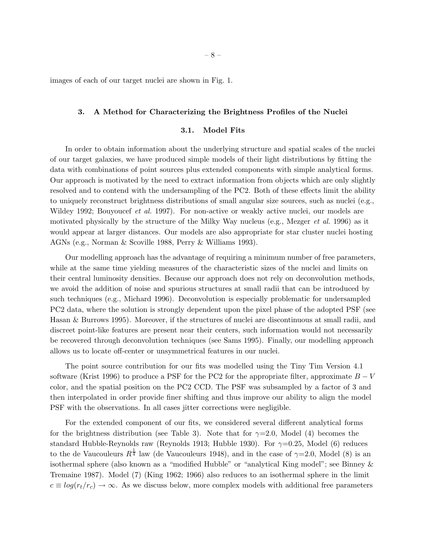images of each of our target nuclei are shown in Fig. 1.

#### 3. A Method for Characterizing the Brightness Profiles of the Nuclei

## 3.1. Model Fits

In order to obtain information about the underlying structure and spatial scales of the nuclei of our target galaxies, we have produced simple models of their light distributions by fitting the data with combinations of point sources plus extended components with simple analytical forms. Our approach is motivated by the need to extract information from objects which are only slightly resolved and to contend with the undersampling of the PC2. Both of these effects limit the ability to uniquely reconstruct brightness distributions of small angular size sources, such as nuclei (e.g., Wildey 1992; Bouyoucef *et al.* 1997). For non-active or weakly active nuclei, our models are motivated physically by the structure of the Milky Way nucleus (e.g., Mezger *et al.* 1996) as it would appear at larger distances. Our models are also appropriate for star cluster nuclei hosting AGNs (e.g., Norman & Scoville 1988, Perry & Williams 1993).

Our modelling approach has the advantage of requiring a minimum number of free parameters, while at the same time yielding measures of the characteristic sizes of the nuclei and limits on their central luminosity densities. Because our approach does not rely on deconvolution methods, we avoid the addition of noise and spurious structures at small radii that can be introduced by such techniques (e.g., Michard 1996). Deconvolution is especially problematic for undersampled PC2 data, where the solution is strongly dependent upon the pixel phase of the adopted PSF (see Hasan & Burrows 1995). Moreover, if the structures of nuclei are discontinuous at small radii, and discreet point-like features are present near their centers, such information would not necessarily be recovered through deconvolution techniques (see Sams 1995). Finally, our modelling approach allows us to locate off-center or unsymmetrical features in our nuclei.

The point source contribution for our fits was modelled using the Tiny Tim Version 4.1 software (Krist 1996) to produce a PSF for the PC2 for the appropriate filter, approximate  $B-V$ color, and the spatial position on the PC2 CCD. The PSF was subsampled by a factor of 3 and then interpolated in order provide finer shifting and thus improve our ability to align the model PSF with the observations. In all cases jitter corrections were negligible.

For the extended component of our fits, we considered several different analytical forms for the brightness distribution (see Table 3). Note that for  $\gamma=2.0$ , Model (4) becomes the standard Hubble-Reynolds raw (Reynolds 1913; Hubble 1930). For  $\gamma=0.25$ , Model (6) reduces to the de Vaucouleurs  $R^{\frac{1}{4}}$  law (de Vaucouleurs 1948), and in the case of  $\gamma=2.0$ , Model (8) is an isothermal sphere (also known as a "modified Hubble" or "analytical King model"; see Binney & Tremaine 1987). Model (7) (King 1962; 1966) also reduces to an isothermal sphere in the limit  $c \equiv log(r_t/r_c) \rightarrow \infty$ . As we discuss below, more complex models with additional free parameters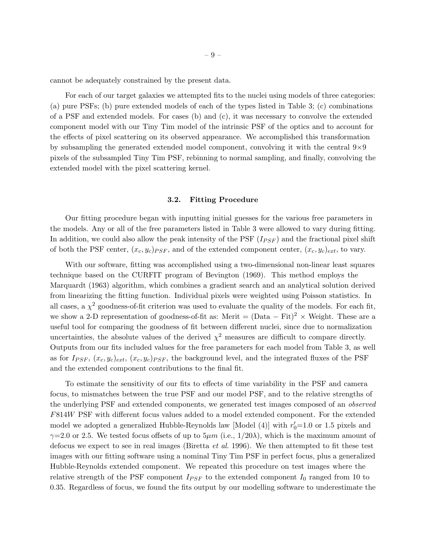cannot be adequately constrained by the present data.

For each of our target galaxies we attempted fits to the nuclei using models of three categories: (a) pure PSFs; (b) pure extended models of each of the types listed in Table 3; (c) combinations of a PSF and extended models. For cases (b) and (c), it was necessary to convolve the extended component model with our Tiny Tim model of the intrinsic PSF of the optics and to account for the effects of pixel scattering on its observed appearance. We accomplished this transformation by subsampling the generated extended model component, convolving it with the central 9×9 pixels of the subsampled Tiny Tim PSF, rebinning to normal sampling, and finally, convolving the extended model with the pixel scattering kernel.

#### 3.2. Fitting Procedure

Our fitting procedure began with inputting initial guesses for the various free parameters in the models. Any or all of the free parameters listed in Table 3 were allowed to vary during fitting. In addition, we could also allow the peak intensity of the PSF  $(I_{PSF})$  and the fractional pixel shift of both the PSF center,  $(x_c, y_c)_{PSF}$ , and of the extended component center,  $(x_c, y_c)_{ext}$ , to vary.

With our software, fitting was accomplished using a two-dimensional non-linear least squares technique based on the CURFIT program of Bevington (1969). This method employs the Marquardt (1963) algorithm, which combines a gradient search and an analytical solution derived from linearizing the fitting function. Individual pixels were weighted using Poisson statistics. In all cases, a  $\chi^2$  goodness-of-fit criterion was used to evaluate the quality of the models. For each fit, we show a 2-D representation of goodness-of-fit as: Merit =  $(Data - Fit)^2 \times Weight$ . These are a useful tool for comparing the goodness of fit between different nuclei, since due to normalization uncertainties, the absolute values of the derived  $\chi^2$  measures are difficult to compare directly. Outputs from our fits included values for the free parameters for each model from Table 3, as well as for  $I_{PSF}$ ,  $(x_c, y_c)_{ext}$ ,  $(x_c, y_c)_{PSF}$ , the background level, and the integrated fluxes of the PSF and the extended component contributions to the final fit.

To estimate the sensitivity of our fits to effects of time variability in the PSF and camera focus, to mismatches between the true PSF and our model PSF, and to the relative strengths of the underlying PSF and extended components, we generated test images composed of an *observed* F814W PSF with different focus values added to a model extended component. For the extended model we adopted a generalized Hubble-Reynolds law [Model  $(4)$ ] with  $r'_0$ =1.0 or 1.5 pixels and  $\gamma=2.0$  or 2.5. We tested focus offsets of up to  $5\mu m$  (i.e.,  $1/20\lambda$ ), which is the maximum amount of defocus we expect to see in real images (Biretta *et al.* 1996). We then attempted to fit these test images with our fitting software using a nominal Tiny Tim PSF in perfect focus, plus a generalized Hubble-Reynolds extended component. We repeated this procedure on test images where the relative strength of the PSF component  $I_{PSF}$  to the extended component  $I_0$  ranged from 10 to 0.35. Regardless of focus, we found the fits output by our modelling software to underestimate the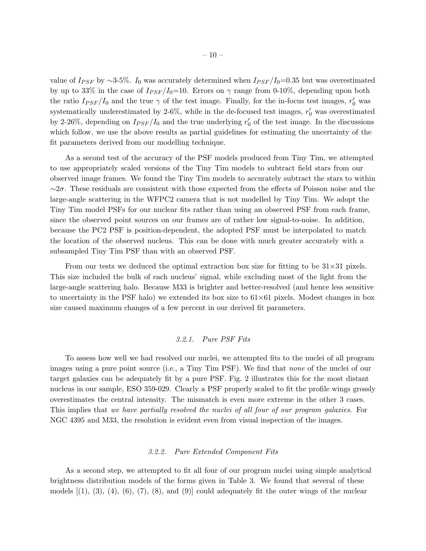value of  $I_{PSF}$  by ∼3-5%. I<sub>0</sub> was accurately determined when  $I_{PSF}/I_0=0.35$  but was overestimated by up to 33% in the case of  $I_{PSF}/I_0=10$ . Errors on  $\gamma$  range from 0-10%, depending upon both the ratio  $I_{PSF}/I_0$  and the true  $\gamma$  of the test image. Finally, for the in-focus test images,  $r'_0$  was systematically underestimated by 2-6%, while in the de-focused test images,  $r'_0$  was overestimated by 2-26%, depending on  $I_{PSF}/I_0$  and the true underlying  $r'_0$  of the test image. In the discussions which follow, we use the above results as partial guidelines for estimating the uncertainty of the fit parameters derived from our modelling technique.

As a second test of the accuracy of the PSF models produced from Tiny Tim, we attempted to use appropriately scaled versions of the Tiny Tim models to subtract field stars from our observed image frames. We found the Tiny Tim models to accurately subtract the stars to within  $~\sim$ 2 $\sigma$ . These residuals are consistent with those expected from the effects of Poisson noise and the large-angle scattering in the WFPC2 camera that is not modelled by Tiny Tim. We adopt the Tiny Tim model PSFs for our nuclear fits rather than using an observed PSF from each frame, since the observed point sources on our frames are of rather low signal-to-noise. In addition, because the PC2 PSF is position-dependent, the adopted PSF must be interpolated to match the location of the observed nucleus. This can be done with much greater accurately with a subsampled Tiny Tim PSF than with an observed PSF.

From our tests we deduced the optimal extraction box size for fitting to be  $31\times31$  pixels. This size included the bulk of each nucleus' signal, while excluding most of the light from the large-angle scattering halo. Because M33 is brighter and better-resolved (and hence less sensitive to uncertainty in the PSF halo) we extended its box size to  $61\times61$  pixels. Modest changes in box size caused maximum changes of a few percent in our derived fit parameters.

#### *3.2.1. Pure PSF Fits*

To assess how well we had resolved our nuclei, we attempted fits to the nuclei of all program images using a pure point source (i.e., a Tiny Tim PSF). We find that *none* of the nuclei of our target galaxies can be adequately fit by a pure PSF. Fig. 2 illustrates this for the most distant nucleus in our sample, ESO 359-029. Clearly a PSF properly scaled to fit the profile wings grossly overestimates the central intensity. The mismatch is even more extreme in the other 3 cases. This implies that *we have partially resolved the nuclei of all four of our program galaxies*. For NGC 4395 and M33, the resolution is evident even from visual inspection of the images.

## *3.2.2. Pure Extended Component Fits*

As a second step, we attempted to fit all four of our program nuclei using simple analytical brightness distribution models of the forms given in Table 3. We found that several of these models  $(1), (3), (4), (6), (7), (8),$  and  $(9)$  could adequately fit the outer wings of the nuclear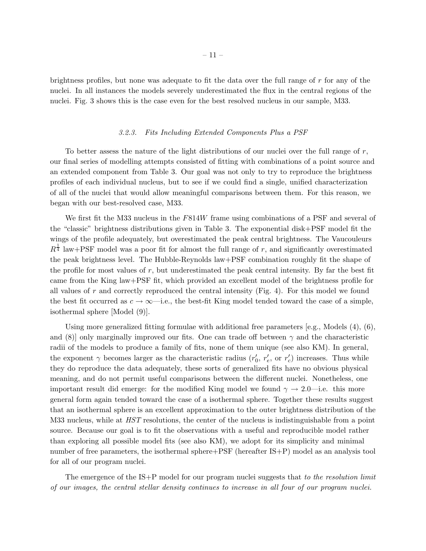brightness profiles, but none was adequate to fit the data over the full range of r for any of the nuclei. In all instances the models severely underestimated the flux in the central regions of the nuclei. Fig. 3 shows this is the case even for the best resolved nucleus in our sample, M33.

#### *3.2.3. Fits Including Extended Components Plus a PSF*

To better assess the nature of the light distributions of our nuclei over the full range of  $r$ , our final series of modelling attempts consisted of fitting with combinations of a point source and an extended component from Table 3. Our goal was not only to try to reproduce the brightness profiles of each individual nucleus, but to see if we could find a single, unified characterization of all of the nuclei that would allow meaningful comparisons between them. For this reason, we began with our best-resolved case, M33.

We first fit the M33 nucleus in the F814W frame using combinations of a PSF and several of the "classic" brightness distributions given in Table 3. The exponential disk+PSF model fit the wings of the profile adequately, but overestimated the peak central brightness. The Vaucouleurs  $R^{\frac{1}{4}}$  law+PSF model was a poor fit for almost the full range of r, and significantly overestimated the peak brightness level. The Hubble-Reynolds law+PSF combination roughly fit the shape of the profile for most values of r, but underestimated the peak central intensity. By far the best fit came from the King law+PSF fit, which provided an excellent model of the brightness profile for all values of r and correctly reproduced the central intensity  $(Fig. 4)$ . For this model we found the best fit occurred as  $c \to \infty$ —i.e., the best-fit King model tended toward the case of a simple, isothermal sphere [Model (9)].

Using more generalized fitting formulae with additional free parameters  $[e.g.,$  Models  $(4), (6),$ and (8)] only marginally improved our fits. One can trade off between  $\gamma$  and the characteristic radii of the models to produce a family of fits, none of them unique (see also KM). In general, the exponent  $\gamma$  becomes larger as the characteristic radius  $(r'_0, r'_e, \text{ or } r'_c)$  increases. Thus while they do reproduce the data adequately, these sorts of generalized fits have no obvious physical meaning, and do not permit useful comparisons between the different nuclei. Nonetheless, one important result did emerge: for the modified King model we found  $\gamma \to 2.0$ —i.e. this more general form again tended toward the case of a isothermal sphere. Together these results suggest that an isothermal sphere is an excellent approximation to the outer brightness distribution of the M33 nucleus, while at *HST* resolutions, the center of the nucleus is indistinguishable from a point source. Because our goal is to fit the observations with a useful and reproducible model rather than exploring all possible model fits (see also KM), we adopt for its simplicity and minimal number of free parameters, the isothermal sphere+PSF (hereafter IS+P) model as an analysis tool for all of our program nuclei.

The emergence of the IS+P model for our program nuclei suggests that *to the resolution limit of our images, the central stellar density continues to increase in all four of our program nuclei.*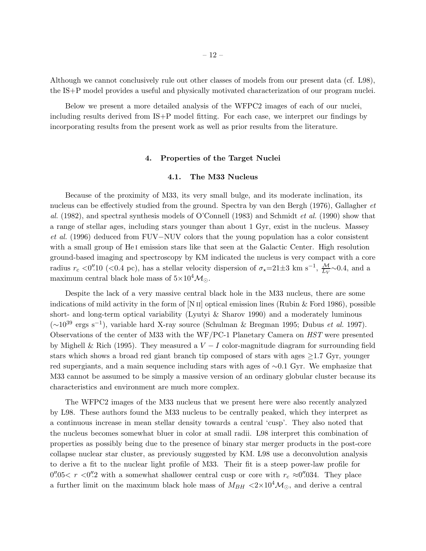Although we cannot conclusively rule out other classes of models from our present data (cf. L98), the IS+P model provides a useful and physically motivated characterization of our program nuclei.

Below we present a more detailed analysis of the WFPC2 images of each of our nuclei, including results derived from IS+P model fitting. For each case, we interpret our findings by incorporating results from the present work as well as prior results from the literature.

## 4. Properties of the Target Nuclei

## 4.1. The M33 Nucleus

Because of the proximity of M33, its very small bulge, and its moderate inclination, its nucleus can be effectively studied from the ground. Spectra by van den Bergh (1976), Gallagher *et al.* (1982), and spectral synthesis models of O'Connell (1983) and Schmidt *et al.* (1990) show that a range of stellar ages, including stars younger than about 1 Gyr, exist in the nucleus. Massey *et al.* (1996) deduced from FUV–NUV colors that the young population has a color consistent with a small group of He<sub>I</sub> emission stars like that seen at the Galactic Center. High resolution ground-based imaging and spectroscopy by KM indicated the nucleus is very compact with a core radius  $r_c < 0''$ .10 (<0.4 pc), has a stellar velocity dispersion of  $\sigma_* = 21 \pm 3$  km s<sup>-1</sup>,  $\frac{M}{L_V} \sim 0.4$ , and a maximum central black hole mass of  $5\times10^4\mathcal{M}_{\odot}$ .

Despite the lack of a very massive central black hole in the M33 nucleus, there are some indications of mild activity in the form of [N  $\text{II}$ ] optical emission lines (Rubin & Ford 1986), possible short- and long-term optical variability (Lyutyi & Sharov 1990) and a moderately luminous (∼10<sup>39</sup> ergs s−<sup>1</sup> ), variable hard X-ray source (Schulman & Bregman 1995; Dubus *et al.* 1997). Observations of the center of M33 with the WF/PC-1 Planetary Camera on *HST* were presented by Mighell & Rich (1995). They measured a  $V-I$  color-magnitude diagram for surrounding field stars which shows a broad red giant branch tip composed of stars with ages  $\geq$ 1.7 Gyr, younger red supergiants, and a main sequence including stars with ages of ∼0.1 Gyr. We emphasize that M33 cannot be assumed to be simply a massive version of an ordinary globular cluster because its characteristics and environment are much more complex.

The WFPC2 images of the M33 nucleus that we present here were also recently analyzed by L98. These authors found the M33 nucleus to be centrally peaked, which they interpret as a continuous increase in mean stellar density towards a central 'cusp'. They also noted that the nucleus becomes somewhat bluer in color at small radii. L98 interpret this combination of properties as possibly being due to the presence of binary star merger products in the post-core collapse nuclear star cluster, as previously suggested by KM. L98 use a deconvolution analysis to derive a fit to the nuclear light profile of M33. Their fit is a steep power-law profile for 0''.05  $r$  <0''.2 with a somewhat shallower central cusp or core with  $r_c \approx 0$ ''.034. They place a further limit on the maximum black hole mass of  $M_{BH} < 2 \times 10^4 \text{M}_{\odot}$ , and derive a central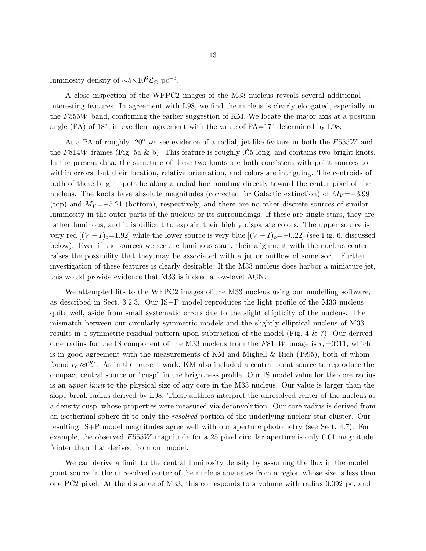luminosity density of  $\sim 5 \times 10^6$   $\mathcal{L}_{\odot}$  pc<sup>-3</sup>.

A close inspection of the WFPC2 images of the M33 nucleus reveals several additional interesting features. In agreement with L98, we find the nucleus is clearly elongated, especially in the F555W band, confirming the earlier suggestion of KM. We locate the major axis at a position angle  $(PA)$  of 18 $\degree$ , in excellent agreement with the value of  $PA=17\degree$  determined by L98.

At a PA of roughly -20 $\degree$  we see evidence of a radial, jet-like feature in both the F555W and the F814W frames (Fig. 5a & b). This feature is roughly  $0''$ . 5 long, and contains two bright knots. In the present data, the structure of these two knots are both consistent with point sources to within errors, but their location, relative orientation, and colors are intriguing. The centroids of both of these bright spots lie along a radial line pointing directly toward the center pixel of the nucleus. The knots have absolute magnitudes (corrected for Galactic extinction) of  $M_V = -3.99$ (top) and  $M_V = -5.21$  (bottom), respectively, and there are no other discrete sources of similar luminosity in the outer parts of the nucleus or its surroundings. If these are single stars, they are rather luminous, and it is difficult to explain their highly disparate colors. The upper source is very red  $[(V-I)_o=1.92]$  while the lower source is very blue  $[(V-I)_o=-0.22]$  (see Fig. 6, discussed below). Even if the sources we see are luminous stars, their alignment with the nucleus center raises the possibility that they may be associated with a jet or outflow of some sort. Further investigation of these features is clearly desirable. If the M33 nucleus does harbor a miniature jet, this would provide evidence that M33 is indeed a low-level AGN.

We attempted fits to the WFPC2 images of the M33 nucleus using our modelling software, as described in Sect. 3.2.3. Our IS+P model reproduces the light profile of the M33 nucleus quite well, aside from small systematic errors due to the slight ellipticity of the nucleus. The mismatch between our circularly symmetric models and the slightly elliptical nucleus of M33 results in a symmetric residual pattern upon subtraction of the model (Fig. 4 & 7). Our derived core radius for the IS component of the M33 nucleus from the  $F814W$  image is  $r_c=0''.11$ , which is in good agreement with the measurements of KM and Mighell & Rich (1995), both of whom found  $r_c \approx 0''.1$ . As in the present work, KM also included a central point source to reproduce the compact central source or "cusp" in the brightness profile. Our IS model value for the core radius is an *upper limit* to the physical size of any core in the M33 nucleus. Our value is larger than the slope break radius derived by L98. These authors interpret the unresolved center of the nucleus as a density cusp, whose properties were measured via deconvolution. Our core radius is derived from an isothermal sphere fit to only the *resolved* portion of the underlying nuclear star cluster. Our resulting IS+P model magnitudes agree well with our aperture photometry (see Sect. 4.7). For example, the observed  $F555W$  magnitude for a 25 pixel circular aperture is only 0.01 magnitude fainter than that derived from our model.

We can derive a limit to the central luminosity density by assuming the flux in the model point source in the unresolved center of the nucleus emanates from a region whose size is less than one PC2 pixel. At the distance of M33, this corresponds to a volume with radius 0.092 pc, and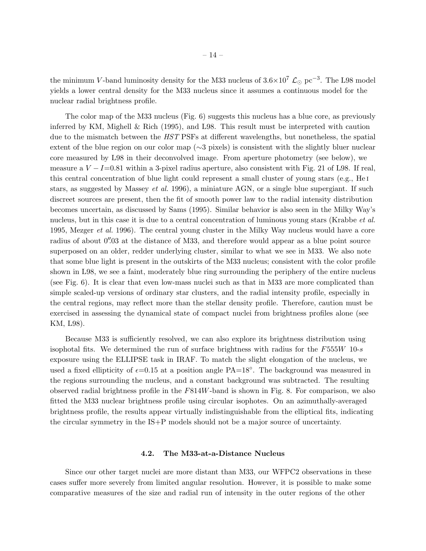the minimum V-band luminosity density for the M33 nucleus of  $3.6 \times 10^7$  L<sub>☉</sub> pc<sup>-3</sup>. The L98 model yields a lower central density for the M33 nucleus since it assumes a continuous model for the nuclear radial brightness profile.

The color map of the M33 nucleus (Fig. 6) suggests this nucleus has a blue core, as previously inferred by KM, Mighell & Rich (1995), and L98. This result must be interpreted with caution due to the mismatch between the *HST* PSFs at different wavelengths, but nonetheless, the spatial extent of the blue region on our color map (∼3 pixels) is consistent with the slightly bluer nuclear core measured by L98 in their deconvolved image. From aperture photometry (see below), we measure a  $V-I=0.81$  within a 3-pixel radius aperture, also consistent with Fig. 21 of L98. If real, this central concentration of blue light could represent a small cluster of young stars (e.g., He i stars, as suggested by Massey *et al.* 1996), a miniature AGN, or a single blue supergiant. If such discreet sources are present, then the fit of smooth power law to the radial intensity distribution becomes uncertain, as discussed by Sams (1995). Similar behavior is also seen in the Milky Way's nucleus, but in this case it is due to a central concentration of luminous young stars (Krabbe *et al.* 1995, Mezger *et al.* 1996). The central young cluster in the Milky Way nucleus would have a core radius of about 0''.03 at the distance of M33, and therefore would appear as a blue point source superposed on an older, redder underlying cluster, similar to what we see in M33. We also note that some blue light is present in the outskirts of the M33 nucleus; consistent with the color profile shown in L98, we see a faint, moderately blue ring surrounding the periphery of the entire nucleus (see Fig. 6). It is clear that even low-mass nuclei such as that in M33 are more complicated than simple scaled-up versions of ordinary star clusters, and the radial intensity profile, especially in the central regions, may reflect more than the stellar density profile. Therefore, caution must be exercised in assessing the dynamical state of compact nuclei from brightness profiles alone (see KM, L98).

Because M33 is sufficiently resolved, we can also explore its brightness distribution using isophotal fits. We determined the run of surface brightness with radius for the  $F555W$  10-s exposure using the ELLIPSE task in IRAF. To match the slight elongation of the nucleus, we used a fixed ellipticity of  $\epsilon$ =0.15 at a position angle PA=18<sup>°</sup>. The background was measured in the regions surrounding the nucleus, and a constant background was subtracted. The resulting observed radial brightness profile in the  $F814W$ -band is shown in Fig. 8. For comparison, we also fitted the M33 nuclear brightness profile using circular isophotes. On an azimuthally-averaged brightness profile, the results appear virtually indistinguishable from the elliptical fits, indicating the circular symmetry in the IS+P models should not be a major source of uncertainty.

#### 4.2. The M33-at-a-Distance Nucleus

Since our other target nuclei are more distant than M33, our WFPC2 observations in these cases suffer more severely from limited angular resolution. However, it is possible to make some comparative measures of the size and radial run of intensity in the outer regions of the other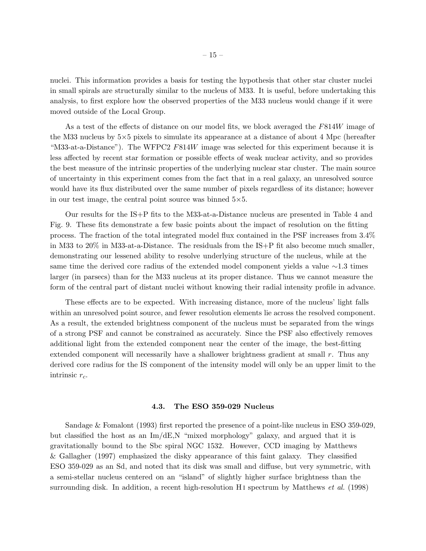nuclei. This information provides a basis for testing the hypothesis that other star cluster nuclei in small spirals are structurally similar to the nucleus of M33. It is useful, before undertaking this analysis, to first explore how the observed properties of the M33 nucleus would change if it were moved outside of the Local Group.

As a test of the effects of distance on our model fits, we block averaged the  $F814W$  image of the M33 nucleus by  $5\times5$  pixels to simulate its appearance at a distance of about 4 Mpc (hereafter "M33-at-a-Distance"). The WFPC2 F814W image was selected for this experiment because it is less affected by recent star formation or possible effects of weak nuclear activity, and so provides the best measure of the intrinsic properties of the underlying nuclear star cluster. The main source of uncertainty in this experiment comes from the fact that in a real galaxy, an unresolved source would have its flux distributed over the same number of pixels regardless of its distance; however in our test image, the central point source was binned  $5\times5$ .

Our results for the IS+P fits to the M33-at-a-Distance nucleus are presented in Table 4 and Fig. 9. These fits demonstrate a few basic points about the impact of resolution on the fitting process. The fraction of the total integrated model flux contained in the PSF increases from 3.4% in M33 to 20% in M33-at-a-Distance. The residuals from the IS+P fit also become much smaller, demonstrating our lessened ability to resolve underlying structure of the nucleus, while at the same time the derived core radius of the extended model component yields a value ∼1.3 times larger (in parsecs) than for the M33 nucleus at its proper distance. Thus we cannot measure the form of the central part of distant nuclei without knowing their radial intensity profile in advance.

These effects are to be expected. With increasing distance, more of the nucleus' light falls within an unresolved point source, and fewer resolution elements lie across the resolved component. As a result, the extended brightness component of the nucleus must be separated from the wings of a strong PSF and cannot be constrained as accurately. Since the PSF also effectively removes additional light from the extended component near the center of the image, the best-fitting extended component will necessarily have a shallower brightness gradient at small  $r$ . Thus any derived core radius for the IS component of the intensity model will only be an upper limit to the intrinsic  $r_c$ .

#### 4.3. The ESO 359-029 Nucleus

Sandage & Fomalont (1993) first reported the presence of a point-like nucleus in ESO 359-029, but classified the host as an Im/dE,N "mixed morphology" galaxy, and argued that it is gravitationally bound to the Sbc spiral NGC 1532. However, CCD imaging by Matthews & Gallagher (1997) emphasized the disky appearance of this faint galaxy. They classified ESO 359-029 as an Sd, and noted that its disk was small and diffuse, but very symmetric, with a semi-stellar nucleus centered on an "island" of slightly higher surface brightness than the surrounding disk. In addition, a recent high-resolution H<sub>I</sub> spectrum by Matthews *et al.* (1998)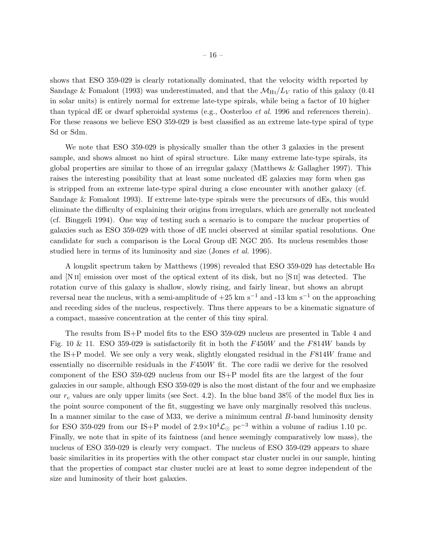shows that ESO 359-029 is clearly rotationally dominated, that the velocity width reported by Sandage & Fomalont (1993) was underestimated, and that the  $\mathcal{M}_{\text{H}_{I}}/L_{V}$  ratio of this galaxy (0.41) in solar units) is entirely normal for extreme late-type spirals, while being a factor of 10 higher than typical dE or dwarf spheroidal systems (e.g., Oosterloo *et al.* 1996 and references therein). For these reasons we believe ESO 359-029 is best classified as an extreme late-type spiral of type Sd or Sdm.

We note that ESO 359-029 is physically smaller than the other 3 galaxies in the present sample, and shows almost no hint of spiral structure. Like many extreme late-type spirals, its global properties are similar to those of an irregular galaxy (Matthews & Gallagher 1997). This raises the interesting possibility that at least some nucleated dE galaxies may form when gas is stripped from an extreme late-type spiral during a close encounter with another galaxy (cf. Sandage & Fomalont 1993). If extreme late-type spirals were the precursors of dEs, this would eliminate the difficulty of explaining their origins from irregulars, which are generally not nucleated (cf. Binggeli 1994). One way of testing such a scenario is to compare the nuclear properties of galaxies such as ESO 359-029 with those of dE nuclei observed at similar spatial resolutions. One candidate for such a comparison is the Local Group dE NGC 205. Its nucleus resembles those studied here in terms of its luminosity and size (Jones *et al.* 1996).

A longslit spectrum taken by Matthews (1998) revealed that ESO 359-029 has detectable  $H\alpha$ and [N II] emission over most of the optical extent of its disk, but no [S II] was detected. The rotation curve of this galaxy is shallow, slowly rising, and fairly linear, but shows an abrupt reversal near the nucleus, with a semi-amplitude of  $+25 \text{ km s}^{-1}$  and  $-13 \text{ km s}^{-1}$  on the approaching and receding sides of the nucleus, respectively. Thus there appears to be a kinematic signature of a compact, massive concentration at the center of this tiny spiral.

The results from IS+P model fits to the ESO 359-029 nucleus are presented in Table 4 and Fig. 10 & 11. ESO 359-029 is satisfactorily fit in both the  $F450W$  and the  $F814W$  bands by the IS+P model. We see only a very weak, slightly elongated residual in the  $F814W$  frame and essentially no discernible residuals in the F450W fit. The core radii we derive for the resolved component of the ESO 359-029 nucleus from our IS+P model fits are the largest of the four galaxies in our sample, although ESO 359-029 is also the most distant of the four and we emphasize our  $r_c$  values are only upper limits (see Sect. 4.2). In the blue band 38% of the model flux lies in the point source component of the fit, suggesting we have only marginally resolved this nucleus. In a manner similar to the case of M33, we derive a minimum central B-band luminosity density for ESO 359-029 from our IS+P model of  $2.9\times10^4 \mathcal{L}_{\odot}$  pc<sup>-3</sup> within a volume of radius 1.10 pc. Finally, we note that in spite of its faintness (and hence seemingly comparatively low mass), the nucleus of ESO 359-029 is clearly very compact. The nucleus of ESO 359-029 appears to share basic similarities in its properties with the other compact star cluster nuclei in our sample, hinting that the properties of compact star cluster nuclei are at least to some degree independent of the size and luminosity of their host galaxies.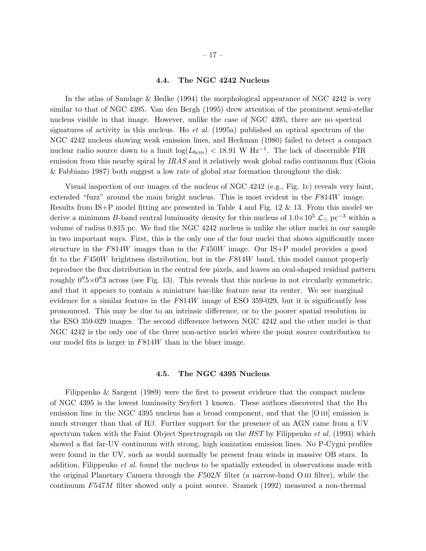#### 4.4. The NGC 4242 Nucleus

In the atlas of Sandage & Bedke (1994) the morphological appearance of NGC 4242 is very similar to that of NGC 4395. Van den Bergh (1995) drew attention of the prominent semi-stellar nucleus visible in that image. However, unlike the case of NGC 4395, there are no spectral signatures of activity in this nucleus. Ho *et al.* (1995a) published an optical spectrum of the NGC 4242 nucleus showing weak emission lines, and Heckman (1980) failed to detect a compact nuclear radio source down to a limit  $\log(L_{6cm})$  < 18.91 W Hz<sup>-1</sup>. The lack of discernible FIR emission from this nearby spiral by *IRAS* and it relatively weak global radio continuum flux (Gioia & Fabbiano 1987) both suggest a low rate of global star formation throughout the disk.

Visual inspection of our images of the nucleus of NGC 4242 (e.g., Fig. 1c) reveals very faint, extended "fuzz" around the main bright nucleus. This is most evident in the F814W image. Results from IS+P model fitting are presented in Table 4 and Fig. 12 & 13. From this model we derive a minimum B-band central luminosity density for this nucleus of  $1.0\times10^5$  L<sub>⊙</sub> pc<sup>-3</sup> within a volume of radius 0.815 pc. We find the NGC 4242 nucleus is unlike the other nuclei in our sample in two important ways. First, this is the only one of the four nuclei that shows significantly more structure in the  $F814W$  images than in the  $F450W$  image. Our IS+P model provides a good fit to the F450W brightness distribution, but in the F814W band, this model cannot properly reproduce the flux distribution in the central few pixels, and leaves an oval-shaped residual pattern roughly  $0''\llap{.}5\times0''\llap{.}3$  across (see Fig. 13). This reveals that this nucleus in not circularly symmetric, and that it appears to contain a miniature bar-like feature near its center. We see marginal evidence for a similar feature in the  $F814W$  image of ESO 359-029, but it is significantly less pronounced. This may be due to an intrinsic difference, or to the poorer spatial resolution in the ESO 359-029 images. The second difference between NGC 4242 and the other nuclei is that NGC 4242 is the only one of the three non-active nuclei where the point source contribution to our model fits is larger in F814W than in the bluer image.

#### 4.5. The NGC 4395 Nucleus

Filippenko & Sargent (1989) were the first to present evidence that the compact nucleus of NGC 4395 is the lowest luminosity Seyfert 1 known. These authors discovered that the  $H\alpha$ emission line in the NGC 4395 nucleus has a broad component, and that the [O III] emission is much stronger than that of Hβ. Further support for the presence of an AGN came from a UV spectrum taken with the Faint Object Spectrograph on the *HST* by Filippenko *et al.* (1993) which showed a flat far-UV continuum with strong, high ionization emission lines. No P-Cygni profiles were found in the UV, such as would normally be present from winds in massive OB stars. In addition, Filippenko *et al.* found the nucleus to be spatially extended in observations made with the original Planetary Camera through the  $F502N$  filter (a narrow-band O III filter), while the continuum F547M filter showed only a point source. Sramek (1992) measured a non-thermal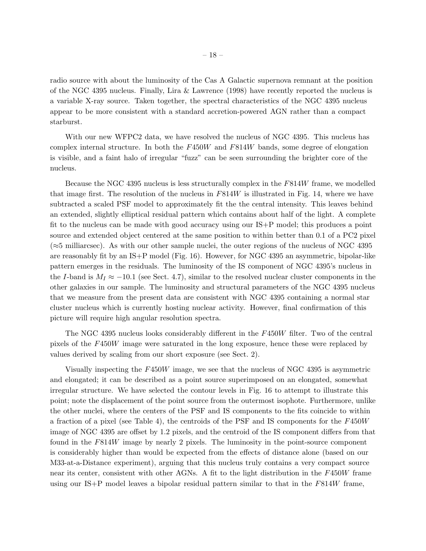radio source with about the luminosity of the Cas A Galactic supernova remnant at the position of the NGC 4395 nucleus. Finally, Lira & Lawrence (1998) have recently reported the nucleus is a variable X-ray source. Taken together, the spectral characteristics of the NGC 4395 nucleus appear to be more consistent with a standard accretion-powered AGN rather than a compact starburst.

With our new WFPC2 data, we have resolved the nucleus of NGC 4395. This nucleus has complex internal structure. In both the  $F450W$  and  $F814W$  bands, some degree of elongation is visible, and a faint halo of irregular "fuzz" can be seen surrounding the brighter core of the nucleus.

Because the NGC 4395 nucleus is less structurally complex in the F814W frame, we modelled that image first. The resolution of the nucleus in  $F814W$  is illustrated in Fig. 14, where we have subtracted a scaled PSF model to approximately fit the the central intensity. This leaves behind an extended, slightly elliptical residual pattern which contains about half of the light. A complete fit to the nucleus can be made with good accuracy using our IS+P model; this produces a point source and extended object centered at the same position to within better than 0.1 of a PC2 pixel  $(\approx 5 \text{ milliarcsec})$ . As with our other sample nuclei, the outer regions of the nucleus of NGC 4395 are reasonably fit by an IS+P model (Fig. 16). However, for NGC 4395 an asymmetric, bipolar-like pattern emerges in the residuals. The luminosity of the IS component of NGC 4395's nucleus in the I-band is  $M_I \approx -10.1$  (see Sect. 4.7), similar to the resolved nuclear cluster components in the other galaxies in our sample. The luminosity and structural parameters of the NGC 4395 nucleus that we measure from the present data are consistent with NGC 4395 containing a normal star cluster nucleus which is currently hosting nuclear activity. However, final confirmation of this picture will require high angular resolution spectra.

The NGC 4395 nucleus looks considerably different in the F450W filter. Two of the central pixels of the F450W image were saturated in the long exposure, hence these were replaced by values derived by scaling from our short exposure (see Sect. 2).

Visually inspecting the F450W image, we see that the nucleus of NGC 4395 is asymmetric and elongated; it can be described as a point source superimposed on an elongated, somewhat irregular structure. We have selected the contour levels in Fig. 16 to attempt to illustrate this point; note the displacement of the point source from the outermost isophote. Furthermore, unlike the other nuclei, where the centers of the PSF and IS components to the fits coincide to within a fraction of a pixel (see Table 4), the centroids of the PSF and IS components for the F450W image of NGC 4395 are offset by 1.2 pixels, and the centroid of the IS component differs from that found in the F814W image by nearly 2 pixels. The luminosity in the point-source component is considerably higher than would be expected from the effects of distance alone (based on our M33-at-a-Distance experiment), arguing that this nucleus truly contains a very compact source near its center, consistent with other AGNs. A fit to the light distribution in the F450W frame using our IS+P model leaves a bipolar residual pattern similar to that in the  $F814W$  frame,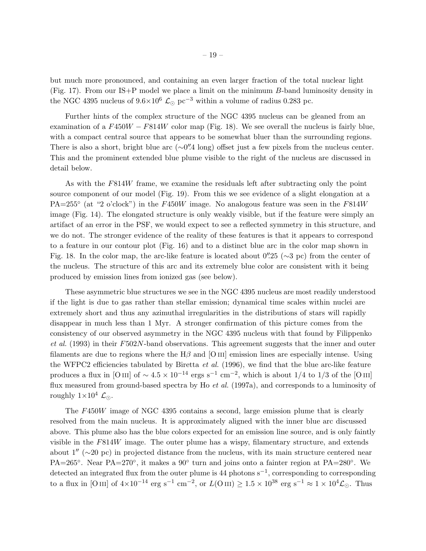but much more pronounced, and containing an even larger fraction of the total nuclear light (Fig. 17). From our IS+P model we place a limit on the minimum B-band luminosity density in the NGC 4395 nucleus of  $9.6 \times 10^6$  L<sub>⊙</sub> pc<sup>-3</sup> within a volume of radius 0.283 pc.

Further hints of the complex structure of the NGC 4395 nucleus can be gleaned from an examination of a  $F450W - F814W$  color map (Fig. 18). We see overall the nucleus is fairly blue, with a compact central source that appears to be somewhat bluer than the surrounding regions. There is also a short, bright blue arc (∼0".4 long) offset just a few pixels from the nucleus center. This and the prominent extended blue plume visible to the right of the nucleus are discussed in detail below.

As with the F814W frame, we examine the residuals left after subtracting only the point source component of our model (Fig. 19). From this we see evidence of a slight elongation at a PA=255° (at "2 o'clock") in the F450W image. No analogous feature was seen in the F814W image (Fig. 14). The elongated structure is only weakly visible, but if the feature were simply an artifact of an error in the PSF, we would expect to see a reflected symmetry in this structure, and we do not. The stronger evidence of the reality of these features is that it appears to correspond to a feature in our contour plot (Fig. 16) and to a distinct blue arc in the color map shown in Fig. 18. In the color map, the arc-like feature is located about 0′′ .25 (∼3 pc) from the center of the nucleus. The structure of this arc and its extremely blue color are consistent with it being produced by emission lines from ionized gas (see below).

These asymmetric blue structures we see in the NGC 4395 nucleus are most readily understood if the light is due to gas rather than stellar emission; dynamical time scales within nuclei are extremely short and thus any azimuthal irregularities in the distributions of stars will rapidly disappear in much less than 1 Myr. A stronger confirmation of this picture comes from the consistency of our observed asymmetry in the NGC 4395 nucleus with that found by Filippenko *et al.* (1993) in their F502N-band observations. This agreement suggests that the inner and outer filaments are due to regions where the  $H\beta$  and [O III] emission lines are especially intense. Using the WFPC2 efficiencies tabulated by Biretta *et al.* (1996), we find that the blue arc-like feature produces a flux in [O III] of  $\sim 4.5 \times 10^{-14}$  ergs s<sup>-1</sup> cm<sup>-2</sup>, which is about 1/4 to 1/3 of the [O III] flux measured from ground-based spectra by Ho *et al.* (1997a), and corresponds to a luminosity of roughly  $1\times10^4$   $\mathcal{L}_{\odot}$ .

The F450W image of NGC 4395 contains a second, large emission plume that is clearly resolved from the main nucleus. It is approximately aligned with the inner blue arc discussed above. This plume also has the blue colors expected for an emission line source, and is only faintly visible in the F814W image. The outer plume has a wispy, filamentary structure, and extends about 1′′ (∼20 pc) in projected distance from the nucleus, with its main structure centered near PA=265°. Near PA=270°, it makes a 90° turn and joins onto a fainter region at PA=280°. We detected an integrated flux from the outer plume is 44 photons  $s^{-1}$ , corresponding to corresponding to a flux in [O III] of  $4\times10^{-14}$  erg s<sup>-1</sup> cm<sup>-2</sup>, or  $L(\text{O\,{\tiny III}}) \geq 1.5\times10^{38}$  erg s<sup>-1</sup> ≈  $1\times10^{4}\mathcal{L}_{\odot}$ . Thus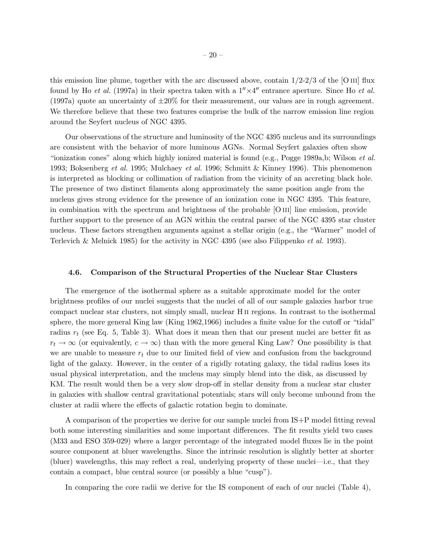this emission line plume, together with the arc discussed above, contain  $1/2-2/3$  of the [O III] flux found by Ho *et al.* (1997a) in their spectra taken with a  $1'' \times 4''$  entrance aperture. Since Ho *et al.* (1997a) quote an uncertainty of  $\pm 20\%$  for their measurement, our values are in rough agreement. We therefore believe that these two features comprise the bulk of the narrow emission line region around the Seyfert nucleus of NGC 4395.

Our observations of the structure and luminosity of the NGC 4395 nucleus and its surroundings are consistent with the behavior of more luminous AGNs. Normal Seyfert galaxies often show "ionization cones" along which highly ionized material is found (e.g., Pogge 1989a,b; Wilson *et al.* 1993; Boksenberg *et al.* 1995; Mulchaey *et al.* 1996; Schmitt & Kinney 1996). This phenomenon is interpreted as blocking or collimation of radiation from the vicinity of an accreting black hole. The presence of two distinct filaments along approximately the same position angle from the nucleus gives strong evidence for the presence of an ionization cone in NGC 4395. This feature, in combination with the spectrum and brightness of the probable [O III] line emission, provide further support to the presence of an AGN within the central parsec of the NGC 4395 star cluster nucleus. These factors strengthen arguments against a stellar origin (e.g., the "Warmer" model of Terlevich & Melnick 1985) for the activity in NGC 4395 (see also Filippenko *et al.* 1993).

#### 4.6. Comparison of the Structural Properties of the Nuclear Star Clusters

The emergence of the isothermal sphere as a suitable approximate model for the outer brightness profiles of our nuclei suggests that the nuclei of all of our sample galaxies harbor true compact nuclear star clusters, not simply small, nuclear H ii regions. In contrast to the isothermal sphere, the more general King law (King 1962,1966) includes a finite value for the cutoff or "tidal" radius  $r_t$  (see Eq. 5, Table 3). What does it mean then that our present nuclei are better fit as  $r_t \to \infty$  (or equivalently,  $c \to \infty$ ) than with the more general King Law? One possibility is that we are unable to measure  $r_t$  due to our limited field of view and confusion from the background light of the galaxy. However, in the center of a rigidly rotating galaxy, the tidal radius loses its usual physical interpretation, and the nucleus may simply blend into the disk, as discussed by KM. The result would then be a very slow drop-off in stellar density from a nuclear star cluster in galaxies with shallow central gravitational potentials; stars will only become unbound from the cluster at radii where the effects of galactic rotation begin to dominate.

A comparison of the properties we derive for our sample nuclei from IS+P model fitting reveal both some interesting similarities and some important differences. The fit results yield two cases (M33 and ESO 359-029) where a larger percentage of the integrated model fluxes lie in the point source component at bluer wavelengths. Since the intrinsic resolution is slightly better at shorter (bluer) wavelengths, this may reflect a real, underlying property of these nuclei—i.e., that they contain a compact, blue central source (or possibly a blue "cusp").

In comparing the core radii we derive for the IS component of each of our nuclei (Table 4),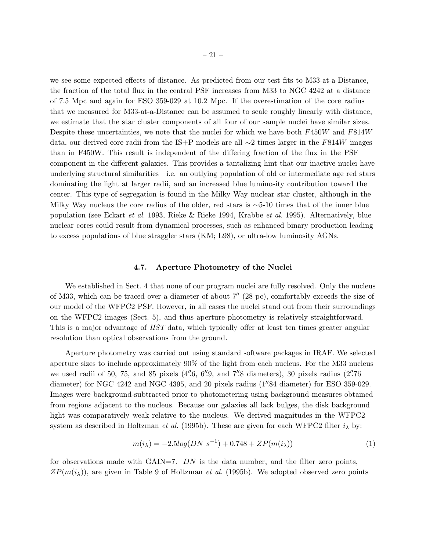we see some expected effects of distance. As predicted from our test fits to M33-at-a-Distance, the fraction of the total flux in the central PSF increases from M33 to NGC 4242 at a distance of 7.5 Mpc and again for ESO 359-029 at 10.2 Mpc. If the overestimation of the core radius that we measured for M33-at-a-Distance can be assumed to scale roughly linearly with distance, we estimate that the star cluster components of all four of our sample nuclei have similar sizes. Despite these uncertainties, we note that the nuclei for which we have both F450W and F814W data, our derived core radii from the IS+P models are all ∼2 times larger in the F814W images than in F450W. This result is independent of the differing fraction of the flux in the PSF component in the different galaxies. This provides a tantalizing hint that our inactive nuclei have underlying structural similarities—i.e. an outlying population of old or intermediate age red stars dominating the light at larger radii, and an increased blue luminosity contribution toward the center. This type of segregation is found in the Milky Way nuclear star cluster, although in the Milky Way nucleus the core radius of the older, red stars is ∼5-10 times that of the inner blue population (see Eckart *et al.* 1993, Rieke & Rieke 1994, Krabbe *et al.* 1995). Alternatively, blue nuclear cores could result from dynamical processes, such as enhanced binary production leading to excess populations of blue straggler stars (KM; L98), or ultra-low luminosity AGNs.

#### 4.7. Aperture Photometry of the Nuclei

We established in Sect. 4 that none of our program nuclei are fully resolved. Only the nucleus of M33, which can be traced over a diameter of about 7′′ (28 pc), comfortably exceeds the size of our model of the WFPC2 PSF. However, in all cases the nuclei stand out from their surroundings on the WFPC2 images (Sect. 5), and thus aperture photometry is relatively straightforward. This is a major advantage of *HST* data, which typically offer at least ten times greater angular resolution than optical observations from the ground.

Aperture photometry was carried out using standard software packages in IRAF. We selected aperture sizes to include approximately 90% of the light from each nucleus. For the M33 nucleus we used radii of 50, 75, and 85 pixels (4".6, 6".9, and 7".8 diameters), 30 pixels radius (2".76 diameter) for NGC 4242 and NGC 4395, and 20 pixels radius (1''.84 diameter) for ESO 359-029. Images were background-subtracted prior to photometering using background measures obtained from regions adjacent to the nucleus. Because our galaxies all lack bulges, the disk background light was comparatively weak relative to the nucleus. We derived magnitudes in the WFPC2 system as described in Holtzman *et al.* (1995b). These are given for each WFPC2 filter  $i_{\lambda}$  by:

$$
m(i_{\lambda}) = -2.5log(DN \ s^{-1}) + 0.748 + ZP(m(i_{\lambda}))
$$
\n(1)

for observations made with GAIN=7.  $DN$  is the data number, and the filter zero points,  $ZP(m(i<sub>\lambda</sub>))$ , are given in Table 9 of Holtzman *et al.* (1995b). We adopted observed zero points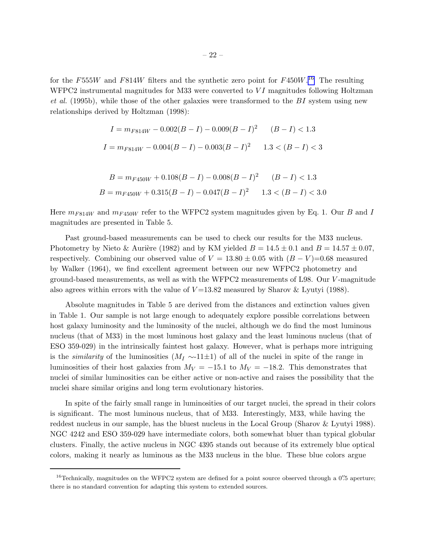for the F555W and F814W filters and the synthetic zero point for  $F450W$ .<sup>16</sup> The resulting WFPC2 instrumental magnitudes for M33 were converted to  $VI$  magnitudes following Holtzman *et al.* (1995b), while those of the other galaxies were transformed to the BI system using new relationships derived by Holtzman (1998):

$$
I = m_{F814W} - 0.002(B - I) - 0.009(B - I)^{2} \qquad (B - I) < 1.3
$$
\n
$$
I = m_{F814W} - 0.004(B - I) - 0.003(B - I)^{2} \qquad 1.3 < (B - I) < 3
$$

$$
B = m_{F450W} + 0.108(B - I) - 0.008(B - I)^{2} \qquad (B - I) < 1.3
$$
\n
$$
B = m_{F450W} + 0.315(B - I) - 0.047(B - I)^{2} \qquad 1.3 < (B - I) < 3.0
$$

Here  $m_{F814W}$  and  $m_{F450W}$  refer to the WFPC2 system magnitudes given by Eq. 1. Our B and I magnitudes are presented in Table 5.

Past ground-based measurements can be used to check our results for the M33 nucleus. Photometry by Nieto & Aurière (1982) and by KM yielded  $B = 14.5 \pm 0.1$  and  $B = 14.57 \pm 0.07$ , respectively. Combining our observed value of  $V = 13.80 \pm 0.05$  with  $(B - V) = 0.68$  measured by Walker (1964), we find excellent agreement between our new WFPC2 photometry and ground-based measurements, as well as with the WFPC2 measurements of L98. Our V -magnitude also agrees within errors with the value of  $V=13.82$  measured by Sharov & Lyutyi (1988).

Absolute magnitudes in Table 5 are derived from the distances and extinction values given in Table 1. Our sample is not large enough to adequately explore possible correlations between host galaxy luminosity and the luminosity of the nuclei, although we do find the most luminous nucleus (that of M33) in the most luminous host galaxy and the least luminous nucleus (that of ESO 359-029) in the intrinsically faintest host galaxy. However, what is perhaps more intriguing is the *similarity* of the luminosities  $(M_I \sim 11 \pm 1)$  of all of the nuclei in spite of the range in luminosities of their host galaxies from  $M_V = -15.1$  to  $M_V = -18.2$ . This demonstrates that nuclei of similar luminosities can be either active or non-active and raises the possibility that the nuclei share similar origins and long term evolutionary histories.

In spite of the fairly small range in luminosities of our target nuclei, the spread in their colors is significant. The most luminous nucleus, that of M33. Interestingly, M33, while having the reddest nucleus in our sample, has the bluest nucleus in the Local Group (Sharov & Lyutyi 1988). NGC 4242 and ESO 359-029 have intermediate colors, both somewhat bluer than typical globular clusters. Finally, the active nucleus in NGC 4395 stands out because of its extremely blue optical colors, making it nearly as luminous as the M33 nucleus in the blue. These blue colors argue

 $^{16}$ Technically, magnitudes on the WFPC2 system are defined for a point source observed through a  $0''$ . 5 aperture; there is no standard convention for adapting this system to extended sources.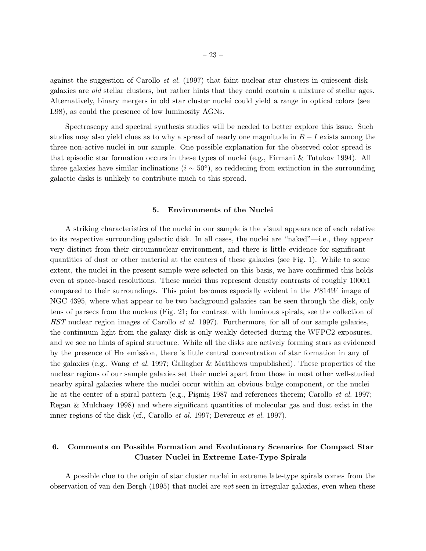against the suggestion of Carollo *et al.* (1997) that faint nuclear star clusters in quiescent disk galaxies are *old* stellar clusters, but rather hints that they could contain a mixture of stellar ages. Alternatively, binary mergers in old star cluster nuclei could yield a range in optical colors (see L98), as could the presence of low luminosity AGNs.

Spectroscopy and spectral synthesis studies will be needed to better explore this issue. Such studies may also yield clues as to why a spread of nearly one magnitude in  $B-I$  exists among the three non-active nuclei in our sample. One possible explanation for the observed color spread is that episodic star formation occurs in these types of nuclei (e.g., Firmani & Tutukov 1994). All three galaxies have similar inclinations  $(i \sim 50^{\circ})$ , so reddening from extinction in the surrounding galactic disks is unlikely to contribute much to this spread.

## 5. Environments of the Nuclei

A striking characteristics of the nuclei in our sample is the visual appearance of each relative to its respective surrounding galactic disk. In all cases, the nuclei are "naked"—i.e., they appear very distinct from their circumnuclear environment, and there is little evidence for significant quantities of dust or other material at the centers of these galaxies (see Fig. 1). While to some extent, the nuclei in the present sample were selected on this basis, we have confirmed this holds even at space-based resolutions. These nuclei thus represent density contrasts of roughly 1000:1 compared to their surroundings. This point becomes especially evident in the F814W image of NGC 4395, where what appear to be two background galaxies can be seen through the disk, only tens of parsecs from the nucleus (Fig. 21; for contrast with luminous spirals, see the collection of *HST* nuclear region images of Carollo *et al.* 1997). Furthermore, for all of our sample galaxies, the continuum light from the galaxy disk is only weakly detected during the WFPC2 exposures, and we see no hints of spiral structure. While all the disks are actively forming stars as evidenced by the presence of  $H\alpha$  emission, there is little central concentration of star formation in any of the galaxies (e.g., Wang *et al.* 1997; Gallagher & Matthews unpublished). These properties of the nuclear regions of our sample galaxies set their nuclei apart from those in most other well-studied nearby spiral galaxies where the nuclei occur within an obvious bulge component, or the nuclei lie at the center of a spiral pattern (e.g., Pişmiş 1987 and references therein; Carollo *et al.* 1997; Regan & Mulchaey 1998) and where significant quantities of molecular gas and dust exist in the inner regions of the disk (cf., Carollo *et al.* 1997; Devereux *et al.* 1997).

## 6. Comments on Possible Formation and Evolutionary Scenarios for Compact Star Cluster Nuclei in Extreme Late-Type Spirals

A possible clue to the origin of star cluster nuclei in extreme late-type spirals comes from the observation of van den Bergh (1995) that nuclei are *not* seen in irregular galaxies, even when these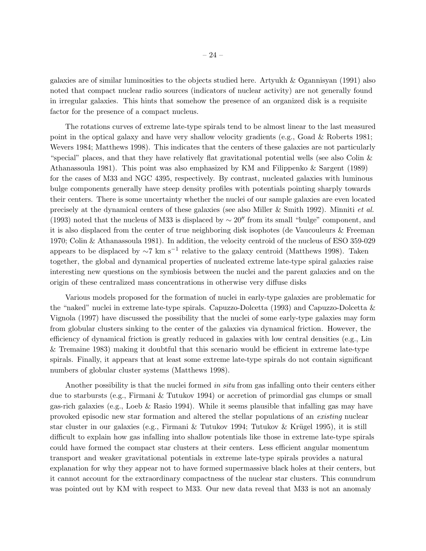galaxies are of similar luminosities to the objects studied here. Artyukh & Ogannisyan (1991) also noted that compact nuclear radio sources (indicators of nuclear activity) are not generally found in irregular galaxies. This hints that somehow the presence of an organized disk is a requisite factor for the presence of a compact nucleus.

The rotations curves of extreme late-type spirals tend to be almost linear to the last measured point in the optical galaxy and have very shallow velocity gradients (e.g., Goad & Roberts 1981; Wevers 1984; Matthews 1998). This indicates that the centers of these galaxies are not particularly "special" places, and that they have relatively flat gravitational potential wells (see also Colin & Athanassoula 1981). This point was also emphasized by KM and Filippenko & Sargent (1989) for the cases of M33 and NGC 4395, respectively. By contrast, nucleated galaxies with luminous bulge components generally have steep density profiles with potentials pointing sharply towards their centers. There is some uncertainty whether the nuclei of our sample galaxies are even located precisely at the dynamical centers of these galaxies (see also Miller & Smith 1992). Minniti *et al.* (1993) noted that the nucleus of M33 is displaced by  $\sim 20''$  from its small "bulge" component, and it is also displaced from the center of true neighboring disk isophotes (de Vaucouleurs & Freeman 1970; Colin & Athanassoula 1981). In addition, the velocity centroid of the nucleus of ESO 359-029 appears to be displaced by  $\sim$ 7 km s<sup>−1</sup> relative to the galaxy centroid (Matthews 1998). Taken together, the global and dynamical properties of nucleated extreme late-type spiral galaxies raise interesting new questions on the symbiosis between the nuclei and the parent galaxies and on the origin of these centralized mass concentrations in otherwise very diffuse disks

Various models proposed for the formation of nuclei in early-type galaxies are problematic for the "naked" nuclei in extreme late-type spirals. Capuzzo-Dolcetta (1993) and Capuzzo-Dolcetta & Vignola (1997) have discussed the possibility that the nuclei of some early-type galaxies may form from globular clusters sinking to the center of the galaxies via dynamical friction. However, the efficiency of dynamical friction is greatly reduced in galaxies with low central densities (e.g., Lin & Tremaine 1983) making it doubtful that this scenario would be efficient in extreme late-type spirals. Finally, it appears that at least some extreme late-type spirals do not contain significant numbers of globular cluster systems (Matthews 1998).

Another possibility is that the nuclei formed *in situ* from gas infalling onto their centers either due to starbursts (e.g., Firmani & Tutukov 1994) or accretion of primordial gas clumps or small gas-rich galaxies (e.g., Loeb & Rasio 1994). While it seems plausible that infalling gas may have provoked episodic new star formation and altered the stellar populations of an *existing* nuclear star cluster in our galaxies (e.g., Firmani & Tutukov 1994; Tutukov & Krügel 1995), it is still difficult to explain how gas infalling into shallow potentials like those in extreme late-type spirals could have formed the compact star clusters at their centers. Less efficient angular momentum transport and weaker gravitational potentials in extreme late-type spirals provides a natural explanation for why they appear not to have formed supermassive black holes at their centers, but it cannot account for the extraordinary compactness of the nuclear star clusters. This conundrum was pointed out by KM with respect to M33. Our new data reveal that M33 is not an anomaly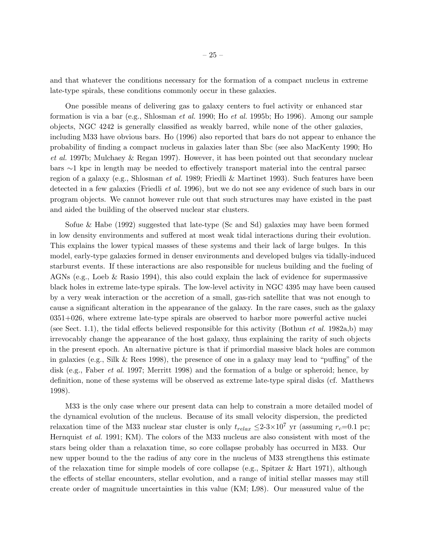and that whatever the conditions necessary for the formation of a compact nucleus in extreme late-type spirals, these conditions commonly occur in these galaxies.

One possible means of delivering gas to galaxy centers to fuel activity or enhanced star formation is via a bar (e.g., Shlosman *et al.* 1990; Ho *et al.* 1995b; Ho 1996). Among our sample objects, NGC 4242 is generally classified as weakly barred, while none of the other galaxies, including M33 have obvious bars. Ho (1996) also reported that bars do not appear to enhance the probability of finding a compact nucleus in galaxies later than Sbc (see also MacKenty 1990; Ho *et al.* 1997b; Mulchaey & Regan 1997). However, it has been pointed out that secondary nuclear bars ∼1 kpc in length may be needed to effectively transport material into the central parsec region of a galaxy (e.g., Shlosman *et al.* 1989; Friedli & Martinet 1993). Such features have been detected in a few galaxies (Friedli *et al.* 1996), but we do not see any evidence of such bars in our program objects. We cannot however rule out that such structures may have existed in the past and aided the building of the observed nuclear star clusters.

Sofue & Habe (1992) suggested that late-type (Sc and Sd) galaxies may have been formed in low density environments and suffered at most weak tidal interactions during their evolution. This explains the lower typical masses of these systems and their lack of large bulges. In this model, early-type galaxies formed in denser environments and developed bulges via tidally-induced starburst events. If these interactions are also responsible for nucleus building and the fueling of AGNs (e.g., Loeb & Rasio 1994), this also could explain the lack of evidence for supermassive black holes in extreme late-type spirals. The low-level activity in NGC 4395 may have been caused by a very weak interaction or the accretion of a small, gas-rich satellite that was not enough to cause a significant alteration in the appearance of the galaxy. In the rare cases, such as the galaxy 0351+026, where extreme late-type spirals are observed to harbor more powerful active nuclei (see Sect. 1.1), the tidal effects believed responsible for this activity (Bothun *et al.* 1982a,b) may irrevocably change the appearance of the host galaxy, thus explaining the rarity of such objects in the present epoch. An alternative picture is that if primordial massive black holes are common in galaxies (e.g., Silk & Rees 1998), the presence of one in a galaxy may lead to "puffing" of the disk (e.g., Faber *et al.* 1997; Merritt 1998) and the formation of a bulge or spheroid; hence, by definition, none of these systems will be observed as extreme late-type spiral disks (cf. Matthews 1998).

M33 is the only case where our present data can help to constrain a more detailed model of the dynamical evolution of the nucleus. Because of its small velocity dispersion, the predicted relaxation time of the M33 nuclear star cluster is only  $t_{relax} \leq 2.3 \times 10^7$  yr (assuming  $r_c=0.1$  pc; Hernquist *et al.* 1991; KM). The colors of the M33 nucleus are also consistent with most of the stars being older than a relaxation time, so core collapse probably has occurred in M33. Our new upper bound to the the radius of any core in the nucleus of M33 strengthens this estimate of the relaxation time for simple models of core collapse (e.g., Spitzer & Hart 1971), although the effects of stellar encounters, stellar evolution, and a range of initial stellar masses may still create order of magnitude uncertainties in this value (KM; L98). Our measured value of the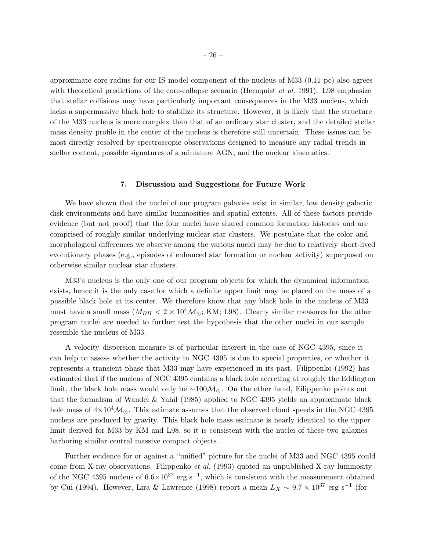approximate core radius for our IS model component of the nucleus of M33 (0.11 pc) also agrees with theoretical predictions of the core-collapse scenario (Hernquist *et al.* 1991). L98 emphasize that stellar collisions may have particularly important consequences in the M33 nucleus, which lacks a supermassive black hole to stabilize its structure. However, it is likely that the structure of the M33 nucleus is more complex than that of an ordinary star cluster, and the detailed stellar mass density profile in the center of the nucleus is therefore still uncertain. These issues can be most directly resolved by spectroscopic observations designed to measure any radial trends in stellar content, possible signatures of a miniature AGN, and the nuclear kinematics.

## 7. Discussion and Suggestions for Future Work

We have shown that the nuclei of our program galaxies exist in similar, low density galactic disk environments and have similar luminosities and spatial extents. All of these factors provide evidence (but not proof) that the four nuclei have shared common formation histories and are comprised of roughly similar underlying nuclear star clusters. We postulate that the color and morphological differences we observe among the various nuclei may be due to relatively short-lived evolutionary phases (e.g., episodes of enhanced star formation or nuclear activity) superposed on otherwise similar nuclear star clusters.

M33's nucleus is the only one of our program objects for which the dynamical information exists, hence it is the only case for which a definite upper limit may be placed on the mass of a possible black hole at its center. We therefore know that any black hole in the nucleus of M33 must have a small mass  $(M_{BH} < 2 \times 10^4 \text{M}_{\odot}; \text{KM}; \text{L98})$ . Clearly similar measures for the other program nuclei are needed to further test the hypothesis that the other nuclei in our sample resemble the nucleus of M33.

A velocity dispersion measure is of particular interest in the case of NGC 4395, since it can help to assess whether the activity in NGC 4395 is due to special properties, or whether it represents a transient phase that M33 may have experienced in its past. Filippenko (1992) has estimated that if the nucleus of NGC 4395 contains a black hole accreting at roughly the Eddington limit, the black hole mass would only be  $\sim 100 \mathcal{M}_{\odot}$ . On the other hand, Filippenko points out that the formalism of Wandel & Yahil (1985) applied to NGC 4395 yields an approximate black hole mass of  $4\times10^4\mathcal{M}_{\odot}$ . This estimate assumes that the observed cloud speeds in the NGC 4395 nucleus are produced by gravity. This black hole mass estimate is nearly identical to the upper limit derived for M33 by KM and L98, so it is consistent with the nuclei of these two galaxies harboring similar central massive compact objects.

Further evidence for or against a "unified" picture for the nuclei of M33 and NGC 4395 could come from X-ray observations. Filippenko *et al.* (1993) quoted an unpublished X-ray luminosity of the NGC 4395 nucleus of  $6.6 \times 10^{37}$  erg s<sup>-1</sup>, which is consistent with the measurement obtained by Cui (1994). However, Lira & Lawrence (1998) report a mean  $L_X \sim 9.7 \times 10^{37}$  erg s<sup>-1</sup> (for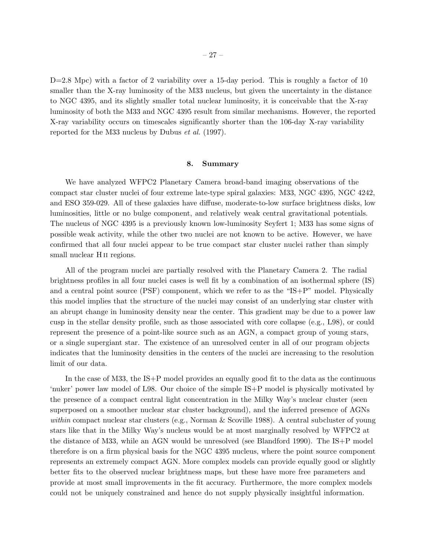$D=2.8$  Mpc) with a factor of 2 variability over a 15-day period. This is roughly a factor of 10 smaller than the X-ray luminosity of the M33 nucleus, but given the uncertainty in the distance to NGC 4395, and its slightly smaller total nuclear luminosity, it is conceivable that the X-ray luminosity of both the M33 and NGC 4395 result from similar mechanisms. However, the reported X-ray variability occurs on timescales significantly shorter than the 106-day X-ray variability reported for the M33 nucleus by Dubus *et al.* (1997).

#### 8. Summary

We have analyzed WFPC2 Planetary Camera broad-band imaging observations of the compact star cluster nuclei of four extreme late-type spiral galaxies: M33, NGC 4395, NGC 4242, and ESO 359-029. All of these galaxies have diffuse, moderate-to-low surface brightness disks, low luminosities, little or no bulge component, and relatively weak central gravitational potentials. The nucleus of NGC 4395 is a previously known low-luminosity Seyfert 1; M33 has some signs of possible weak activity, while the other two nuclei are not known to be active. However, we have confirmed that all four nuclei appear to be true compact star cluster nuclei rather than simply small nuclear H<sub>II</sub> regions.

All of the program nuclei are partially resolved with the Planetary Camera 2. The radial brightness profiles in all four nuclei cases is well fit by a combination of an isothermal sphere (IS) and a central point source (PSF) component, which we refer to as the "IS+P" model. Physically this model implies that the structure of the nuclei may consist of an underlying star cluster with an abrupt change in luminosity density near the center. This gradient may be due to a power law cusp in the stellar density profile, such as those associated with core collapse (e.g., L98), or could represent the presence of a point-like source such as an AGN, a compact group of young stars, or a single supergiant star. The existence of an unresolved center in all of our program objects indicates that the luminosity densities in the centers of the nuclei are increasing to the resolution limit of our data.

In the case of M33, the IS+P model provides an equally good fit to the data as the continuous 'nuker' power law model of L98. Our choice of the simple IS+P model is physically motivated by the presence of a compact central light concentration in the Milky Way's nuclear cluster (seen superposed on a smoother nuclear star cluster background), and the inferred presence of AGNs within compact nuclear star clusters (e.g., Norman & Scoville 1988). A central subcluster of young stars like that in the Milky Way's nucleus would be at most marginally resolved by WFPC2 at the distance of M33, while an AGN would be unresolved (see Blandford 1990). The IS+P model therefore is on a firm physical basis for the NGC 4395 nucleus, where the point source component represents an extremely compact AGN. More complex models can provide equally good or slightly better fits to the observed nuclear brightness maps, but these have more free parameters and provide at most small improvements in the fit accuracy. Furthermore, the more complex models could not be uniquely constrained and hence do not supply physically insightful information.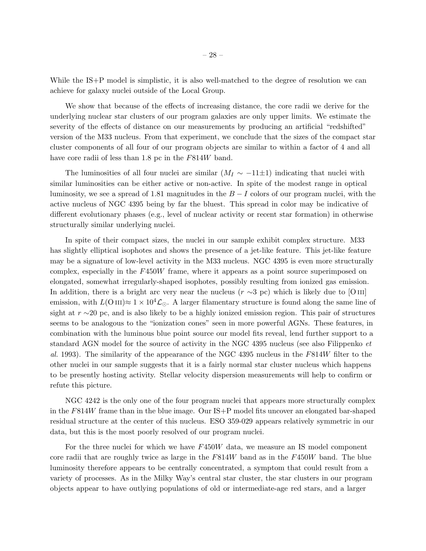While the IS+P model is simplistic, it is also well-matched to the degree of resolution we can achieve for galaxy nuclei outside of the Local Group.

We show that because of the effects of increasing distance, the core radii we derive for the underlying nuclear star clusters of our program galaxies are only upper limits. We estimate the severity of the effects of distance on our measurements by producing an artificial "redshifted" version of the M33 nucleus. From that experiment, we conclude that the sizes of the compact star cluster components of all four of our program objects are similar to within a factor of 4 and all have core radii of less than 1.8 pc in the  $F814W$  band.

The luminosities of all four nuclei are similar  $(M<sub>I</sub> \sim -11\pm 1)$  indicating that nuclei with similar luminosities can be either active or non-active. In spite of the modest range in optical luminosity, we see a spread of 1.81 magnitudes in the  $B-I$  colors of our program nuclei, with the active nucleus of NGC 4395 being by far the bluest. This spread in color may be indicative of different evolutionary phases (e.g., level of nuclear activity or recent star formation) in otherwise structurally similar underlying nuclei.

In spite of their compact sizes, the nuclei in our sample exhibit complex structure. M33 has slightly elliptical isophotes and shows the presence of a jet-like feature. This jet-like feature may be a signature of low-level activity in the M33 nucleus. NGC 4395 is even more structurally complex, especially in the F450W frame, where it appears as a point source superimposed on elongated, somewhat irregularly-shaped isophotes, possibly resulting from ionized gas emission. In addition, there is a bright arc very near the nucleus ( $r \sim 3$  pc) which is likely due to [O III] emission, with  $L(\text{O}\text{III})\approx 1\times10^4\mathcal{L}_\odot$ . A larger filamentary structure is found along the same line of sight at r ∼20 pc, and is also likely to be a highly ionized emission region. This pair of structures seems to be analogous to the "ionization cones" seen in more powerful AGNs. These features, in combination with the luminous blue point source our model fits reveal, lend further support to a standard AGN model for the source of activity in the NGC 4395 nucleus (see also Filippenko *et al.* 1993). The similarity of the appearance of the NGC 4395 nucleus in the F814W filter to the other nuclei in our sample suggests that it is a fairly normal star cluster nucleus which happens to be presently hosting activity. Stellar velocity dispersion measurements will help to confirm or refute this picture.

NGC 4242 is the only one of the four program nuclei that appears more structurally complex in the  $F814W$  frame than in the blue image. Our  $IS+P$  model fits uncover an elongated bar-shaped residual structure at the center of this nucleus. ESO 359-029 appears relatively symmetric in our data, but this is the most poorly resolved of our program nuclei.

For the three nuclei for which we have  $F450W$  data, we measure an IS model component core radii that are roughly twice as large in the  $F814W$  band as in the  $F450W$  band. The blue luminosity therefore appears to be centrally concentrated, a symptom that could result from a variety of processes. As in the Milky Way's central star cluster, the star clusters in our program objects appear to have outlying populations of old or intermediate-age red stars, and a larger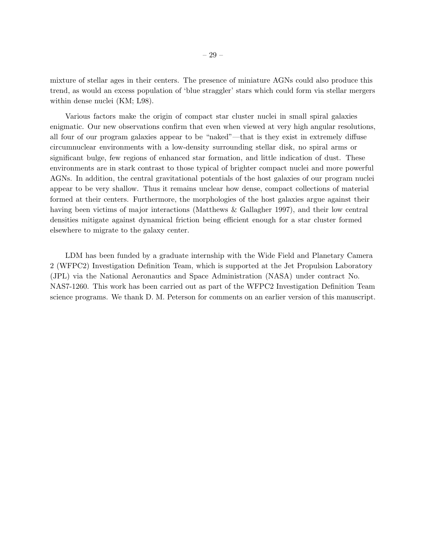mixture of stellar ages in their centers. The presence of miniature AGNs could also produce this trend, as would an excess population of 'blue straggler' stars which could form via stellar mergers within dense nuclei (KM; L98).

Various factors make the origin of compact star cluster nuclei in small spiral galaxies enigmatic. Our new observations confirm that even when viewed at very high angular resolutions, all four of our program galaxies appear to be "naked"—that is they exist in extremely diffuse circumnuclear environments with a low-density surrounding stellar disk, no spiral arms or significant bulge, few regions of enhanced star formation, and little indication of dust. These environments are in stark contrast to those typical of brighter compact nuclei and more powerful AGNs. In addition, the central gravitational potentials of the host galaxies of our program nuclei appear to be very shallow. Thus it remains unclear how dense, compact collections of material formed at their centers. Furthermore, the morphologies of the host galaxies argue against their having been victims of major interactions (Matthews & Gallagher 1997), and their low central densities mitigate against dynamical friction being efficient enough for a star cluster formed elsewhere to migrate to the galaxy center.

LDM has been funded by a graduate internship with the Wide Field and Planetary Camera 2 (WFPC2) Investigation Definition Team, which is supported at the Jet Propulsion Laboratory (JPL) via the National Aeronautics and Space Administration (NASA) under contract No. NAS7-1260. This work has been carried out as part of the WFPC2 Investigation Definition Team science programs. We thank D. M. Peterson for comments on an earlier version of this manuscript.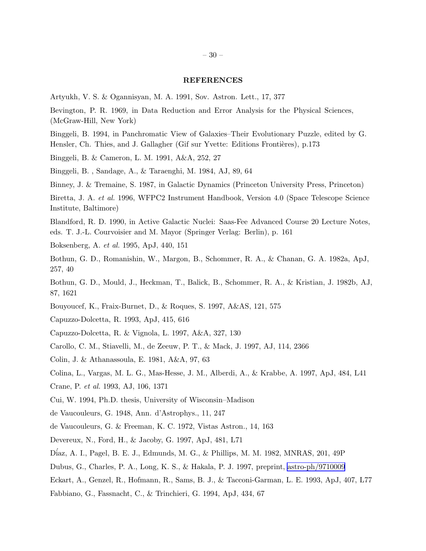#### REFERENCES

Artyukh, V. S. & Ogannisyan, M. A. 1991, Sov. Astron. Lett., 17, 377

Bevington, P. R. 1969, in Data Reduction and Error Analysis for the Physical Sciences, (McGraw-Hill, New York)

Binggeli, B. 1994, in Panchromatic View of Galaxies–Their Evolutionary Puzzle, edited by G. Hensler, Ch. Thies, and J. Gallagher (Gif sur Yvette: Editions Frontières), p.173

Binggeli, B. & Cameron, L. M. 1991, A&A, 252, 27

Binggeli, B. , Sandage, A., & Taraenghi, M. 1984, AJ, 89, 64

Binney, J. & Tremaine, S. 1987, in Galactic Dynamics (Princeton University Press, Princeton)

Biretta, J. A. *et al.* 1996, WFPC2 Instrument Handbook, Version 4.0 (Space Telescope Science Institute, Baltimore)

Blandford, R. D. 1990, in Active Galactic Nuclei: Saas-Fee Advanced Course 20 Lecture Notes, eds. T. J.-L. Courvoisier and M. Mayor (Springer Verlag: Berlin), p. 161

Boksenberg, A. *et al.* 1995, ApJ, 440, 151

Bothun, G. D., Romanishin, W., Margon, B., Schommer, R. A., & Chanan, G. A. 1982a, ApJ, 257, 40

Bothun, G. D., Mould, J., Heckman, T., Balick, B., Schommer, R. A., & Kristian, J. 1982b, AJ, 87, 1621

Bouyoucef, K., Fraix-Burnet, D., & Roques, S. 1997, A&AS, 121, 575

Capuzzo-Dolcetta, R. 1993, ApJ, 415, 616

Capuzzo-Dolcetta, R. & Vignola, L. 1997, A&A, 327, 130

Carollo, C. M., Stiavelli, M., de Zeeuw, P. T., & Mack, J. 1997, AJ, 114, 2366

Colin, J. & Athanassoula, E. 1981, A&A, 97, 63

Colina, L., Vargas, M. L. G., Mas-Hesse, J. M., Alberdi, A., & Krabbe, A. 1997, ApJ, 484, L41

Crane, P. *et al.* 1993, AJ, 106, 1371

Cui, W. 1994, Ph.D. thesis, University of Wisconsin–Madison

de Vaucouleurs, G. 1948, Ann. d'Astrophys., 11, 247

de Vaucouleurs, G. & Freeman, K. C. 1972, Vistas Astron., 14, 163

Devereux, N., Ford, H., & Jacoby, G. 1997, ApJ, 481, L71

D´iaz, A. I., Pagel, B. E. J., Edmunds, M. G., & Phillips, M. M. 1982, MNRAS, 201, 49P

Dubus, G., Charles, P. A., Long, K. S., & Hakala, P. J. 1997, preprint, [astro-ph/9710009](http://arxiv.org/abs/astro-ph/9710009)

Eckart, A., Genzel, R., Hofmann, R., Sams, B. J., & Tacconi-Garman, L. E. 1993, ApJ, 407, L77

Fabbiano, G., Fassnacht, C., & Trinchieri, G. 1994, ApJ, 434, 67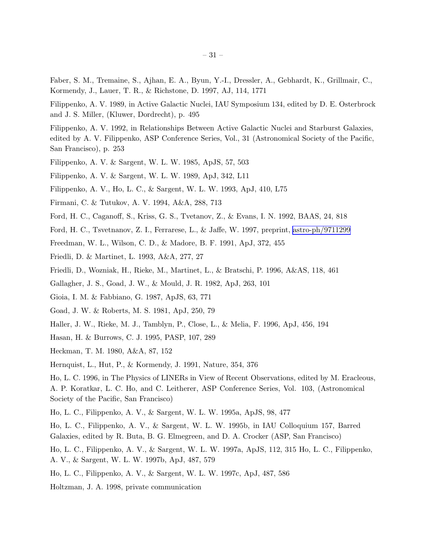Faber, S. M., Tremaine, S., Ajhan, E. A., Byun, Y.-I., Dressler, A., Gebhardt, K., Grillmair, C., Kormendy, J., Lauer, T. R., & Richstone, D. 1997, AJ, 114, 1771

Filippenko, A. V. 1989, in Active Galactic Nuclei, IAU Symposium 134, edited by D. E. Osterbrock and J. S. Miller, (Kluwer, Dordrecht), p. 495

Filippenko, A. V. 1992, in Relationships Between Active Galactic Nuclei and Starburst Galaxies, edited by A. V. Filippenko, ASP Conference Series, Vol., 31 (Astronomical Society of the Pacific, San Francisco), p. 253

Filippenko, A. V. & Sargent, W. L. W. 1985, ApJS, 57, 503

Filippenko, A. V. & Sargent, W. L. W. 1989, ApJ, 342, L11

Filippenko, A. V., Ho, L. C., & Sargent, W. L. W. 1993, ApJ, 410, L75

Firmani, C. & Tutukov, A. V. 1994, A&A, 288, 713

- Ford, H. C., Caganoff, S., Kriss, G. S., Tvetanov, Z., & Evans, I. N. 1992, BAAS, 24, 818
- Ford, H. C., Tsvetnanov, Z. I., Ferrarese, L., & Jaffe, W. 1997, preprint, [astro-ph/9711299](http://arxiv.org/abs/astro-ph/9711299)

Freedman, W. L., Wilson, C. D., & Madore, B. F. 1991, ApJ, 372, 455

Friedli, D. & Martinet, L. 1993, A&A, 277, 27

Friedli, D., Wozniak, H., Rieke, M., Martinet, L., & Bratschi, P. 1996, A&AS, 118, 461

Gallagher, J. S., Goad, J. W., & Mould, J. R. 1982, ApJ, 263, 101

Gioia, I. M. & Fabbiano, G. 1987, ApJS, 63, 771

Goad, J. W. & Roberts, M. S. 1981, ApJ, 250, 79

Haller, J. W., Rieke, M. J., Tamblyn, P., Close, L., & Melia, F. 1996, ApJ, 456, 194

Hasan, H. & Burrows, C. J. 1995, PASP, 107, 289

Heckman, T. M. 1980, A&A, 87, 152

Hernquist, L., Hut, P., & Kormendy, J. 1991, Nature, 354, 376

Ho, L. C. 1996, in The Physics of LINERs in View of Recent Observations, edited by M. Eracleous, A. P. Koratkar, L. C. Ho, and C. Leitherer, ASP Conference Series, Vol. 103, (Astronomical Society of the Pacific, San Francisco)

Ho, L. C., Filippenko, A. V., & Sargent, W. L. W. 1995a, ApJS, 98, 477

Ho, L. C., Filippenko, A. V., & Sargent, W. L. W. 1995b, in IAU Colloquium 157, Barred Galaxies, edited by R. Buta, B. G. Elmegreen, and D. A. Crocker (ASP, San Francisco)

Ho, L. C., Filippenko, A. V., & Sargent, W. L. W. 1997a, ApJS, 112, 315 Ho, L. C., Filippenko, A. V., & Sargent, W. L. W. 1997b, ApJ, 487, 579

Ho, L. C., Filippenko, A. V., & Sargent, W. L. W. 1997c, ApJ, 487, 586

Holtzman, J. A. 1998, private communication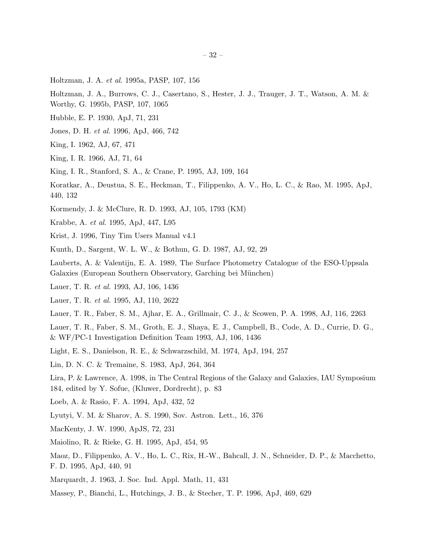Holtzman, J. A. *et al.* 1995a, PASP, 107, 156

Holtzman, J. A., Burrows, C. J., Casertano, S., Hester, J. J., Trauger, J. T., Watson, A. M. &

- Worthy, G. 1995b, PASP, 107, 1065
- Hubble, E. P. 1930, ApJ, 71, 231
- Jones, D. H. *et al.* 1996, ApJ, 466, 742
- King, I. 1962, AJ, 67, 471
- King, I. R. 1966, AJ, 71, 64
- King, I. R., Stanford, S. A., & Crane, P. 1995, AJ, 109, 164
- Koratkar, A., Deustua, S. E., Heckman, T., Filippenko, A. V., Ho, L. C., & Rao, M. 1995, ApJ, 440, 132
- Kormendy, J. & McClure, R. D. 1993, AJ, 105, 1793 (KM)
- Krabbe, A. *et al.* 1995, ApJ, 447, L95
- Krist, J. 1996, Tiny Tim Users Manual v4.1
- Kunth, D., Sargent, W. L. W., & Bothun, G. D. 1987, AJ, 92, 29
- Lauberts, A. & Valentijn, E. A. 1989, The Surface Photometry Catalogue of the ESO-Uppsala Galaxies (European Southern Observatory, Garching bei München)
- Lauer, T. R. *et al.* 1993, AJ, 106, 1436
- Lauer, T. R. *et al.* 1995, AJ, 110, 2622
- Lauer, T. R., Faber, S. M., Ajhar, E. A., Grillmair, C. J., & Scowen, P. A. 1998, AJ, 116, 2263

Lauer, T. R., Faber, S. M., Groth, E. J., Shaya, E. J., Campbell, B., Code, A. D., Currie, D. G., & WF/PC-1 Investigation Definition Team 1993, AJ, 106, 1436

- Light, E. S., Danielson, R. E., & Schwarzschild, M. 1974, ApJ, 194, 257
- Lin, D. N. C. & Tremaine, S. 1983, ApJ, 264, 364

Lira, P. & Lawrence, A. 1998, in The Central Regions of the Galaxy and Galaxies, IAU Symposium 184, edited by Y. Sofue, (Kluwer, Dordrecht), p. 83

Loeb, A. & Rasio, F. A. 1994, ApJ, 432, 52

Lyutyi, V. M. & Sharov, A. S. 1990, Sov. Astron. Lett., 16, 376

MacKenty, J. W. 1990, ApJS, 72, 231

Maiolino, R. & Rieke, G. H. 1995, ApJ, 454, 95

Maoz, D., Filippenko, A. V., Ho, L. C., Rix, H.-W., Bahcall, J. N., Schneider, D. P., & Macchetto, F. D. 1995, ApJ, 440, 91

- Marquardt, J. 1963, J. Soc. Ind. Appl. Math, 11, 431
- Massey, P., Bianchi, L., Hutchings, J. B., & Stecher, T. P. 1996, ApJ, 469, 629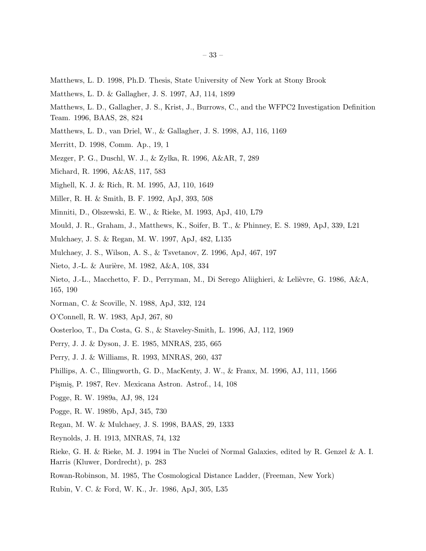- Matthews, L. D. 1998, Ph.D. Thesis, State University of New York at Stony Brook
- Matthews, L. D. & Gallagher, J. S. 1997, AJ, 114, 1899
- Matthews, L. D., Gallagher, J. S., Krist, J., Burrows, C., and the WFPC2 Investigation Definition Team. 1996, BAAS, 28, 824
- Matthews, L. D., van Driel, W., & Gallagher, J. S. 1998, AJ, 116, 1169
- Merritt, D. 1998, Comm. Ap., 19, 1
- Mezger, P. G., Duschl, W. J., & Zylka, R. 1996, A&AR, 7, 289
- Michard, R. 1996, A&AS, 117, 583
- Mighell, K. J. & Rich, R. M. 1995, AJ, 110, 1649
- Miller, R. H. & Smith, B. F. 1992, ApJ, 393, 508
- Minniti, D., Olszewski, E. W., & Rieke, M. 1993, ApJ, 410, L79
- Mould, J. R., Graham, J., Matthews, K., Soifer, B. T., & Phinney, E. S. 1989, ApJ, 339, L21
- Mulchaey, J. S. & Regan, M. W. 1997, ApJ, 482, L135
- Mulchaey, J. S., Wilson, A. S., & Tsvetanov, Z. 1996, ApJ, 467, 197
- Nieto, J.-L. & Aurière, M. 1982, A&A, 108, 334
- Nieto, J.-L., Macchetto, F. D., Perryman, M., Di Serego Aliighieri, & Lelièvre, G. 1986, A&A, 165, 190
- Norman, C. & Scoville, N. 1988, ApJ, 332, 124
- O'Connell, R. W. 1983, ApJ, 267, 80
- Oosterloo, T., Da Costa, G. S., & Staveley-Smith, L. 1996, AJ, 112, 1969
- Perry, J. J. & Dyson, J. E. 1985, MNRAS, 235, 665
- Perry, J. J. & Williams, R. 1993, MNRAS, 260, 437
- Phillips, A. C., Illingworth, G. D., MacKenty, J. W., & Franx, M. 1996, AJ, 111, 1566
- Pişmiş, P. 1987, Rev. Mexicana Astron. Astrof., 14, 108
- Pogge, R. W. 1989a, AJ, 98, 124
- Pogge, R. W. 1989b, ApJ, 345, 730
- Regan, M. W. & Mulchaey, J. S. 1998, BAAS, 29, 1333
- Reynolds, J. H. 1913, MNRAS, 74, 132
- Rieke, G. H. & Rieke, M. J. 1994 in The Nuclei of Normal Galaxies, edited by R. Genzel & A. I. Harris (Kluwer, Dordrecht), p. 283
- Rowan-Robinson, M. 1985, The Cosmological Distance Ladder, (Freeman, New York)
- Rubin, V. C. & Ford, W. K., Jr. 1986, ApJ, 305, L35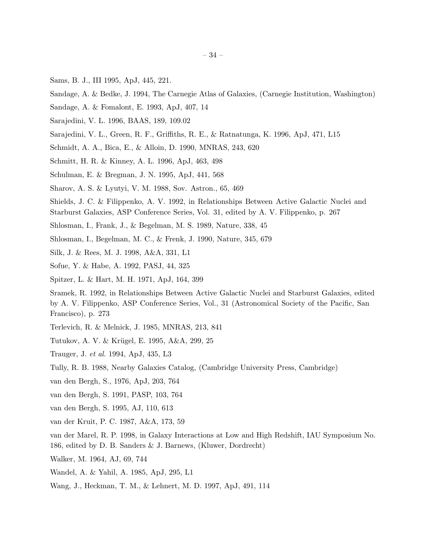- Sams, B. J., III 1995, ApJ, 445, 221.
- Sandage, A. & Bedke, J. 1994, The Carnegie Atlas of Galaxies, (Carnegie Institution, Washington)
- Sandage, A. & Fomalont, E. 1993, ApJ, 407, 14
- Sarajedini, V. L. 1996, BAAS, 189, 109.02
- Sarajedini, V. L., Green, R. F., Griffiths, R. E., & Ratnatunga, K. 1996, ApJ, 471, L15
- Schmidt, A. A., Bica, E., & Alloin, D. 1990, MNRAS, 243, 620
- Schmitt, H. R. & Kinney, A. L. 1996, ApJ, 463, 498
- Schulman, E. & Bregman, J. N. 1995, ApJ, 441, 568
- Sharov, A. S. & Lyutyi, V. M. 1988, Sov. Astron., 65, 469
- Shields, J. C. & Filippenko, A. V. 1992, in Relationships Between Active Galactic Nuclei and Starburst Galaxies, ASP Conference Series, Vol. 31, edited by A. V. Filippenko, p. 267
- 
- Shlosman, I., Frank, J., & Begelman, M. S. 1989, Nature, 338, 45
- Shlosman, I., Begelman, M. C., & Frenk, J. 1990, Nature, 345, 679
- Silk, J. & Rees, M. J. 1998, A&A, 331, L1
- Sofue, Y. & Habe, A. 1992, PASJ, 44, 325
- Spitzer, L. & Hart, M. H. 1971, ApJ, 164, 399

Sramek, R. 1992, in Relationships Between Active Galactic Nuclei and Starburst Galaxies, edited by A. V. Filippenko, ASP Conference Series, Vol., 31 (Astronomical Society of the Pacific, San Francisco), p. 273

- Terlevich, R. & Melnick, J. 1985, MNRAS, 213, 841
- Tutukov, A. V. & Krügel, E. 1995, A&A, 299, 25
- Trauger, J. *et al.* 1994, ApJ, 435, L3
- Tully, R. B. 1988, Nearby Galaxies Catalog, (Cambridge University Press, Cambridge)
- van den Bergh, S., 1976, ApJ, 203, 764
- van den Bergh, S. 1991, PASP, 103, 764
- van den Bergh, S. 1995, AJ, 110, 613
- van der Kruit, P. C. 1987, A&A, 173, 59
- van der Marel, R. P. 1998, in Galaxy Interactions at Low and High Redshift, IAU Symposium No. 186, edited by D. B. Sanders & J. Barnews, (Kluwer, Dordrecht)
- Walker, M. 1964, AJ, 69, 744
- Wandel, A. & Yahil, A. 1985, ApJ, 295, L1
- Wang, J., Heckman, T. M., & Lehnert, M. D. 1997, ApJ, 491, 114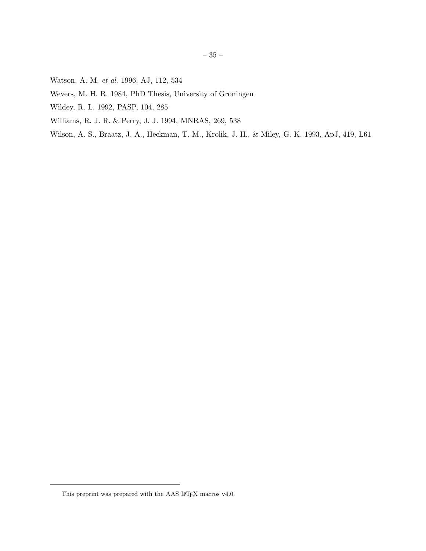- Watson, A. M. *et al.* 1996, AJ, 112, 534
- Wevers, M. H. R. 1984, PhD Thesis, University of Groningen
- Wildey, R. L. 1992, PASP, 104, 285
- Williams, R. J. R. & Perry, J. J. 1994, MNRAS, 269, 538
- Wilson, A. S., Braatz, J. A., Heckman, T. M., Krolik, J. H., & Miley, G. K. 1993, ApJ, 419, L61

This preprint was prepared with the AAS IATEX macros  $\rm v4.0.$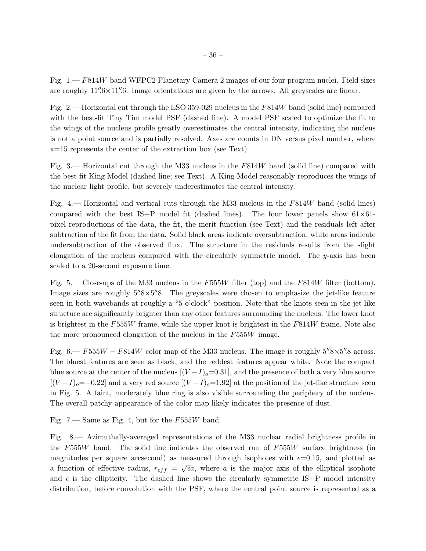Fig. 1.— F814W-band WFPC2 Planetary Camera 2 images of our four program nuclei. Field sizes are roughly  $11''\cdot 6 \times 11''\cdot 6$ . Image orientations are given by the arrows. All greyscales are linear.

Fig. 2.— Horizontal cut through the ESO 359-029 nucleus in the F814W band (solid line) compared with the best-fit Tiny Tim model PSF (dashed line). A model PSF scaled to optimize the fit to the wings of the nucleus profile greatly overestimates the central intensity, indicating the nucleus is not a point source and is partially resolved. Axes are counts in DN versus pixel number, where x=15 represents the center of the extraction box (see Text).

Fig. 3.— Horizontal cut through the M33 nucleus in the F814W band (solid line) compared with the best-fit King Model (dashed line; see Text). A King Model reasonably reproduces the wings of the nuclear light profile, but severely underestimates the central intensity.

Fig. 4.— Horizontal and vertical cuts through the M33 nucleus in the F814W band (solid lines) compared with the best IS+P model fit (dashed lines). The four lower panels show  $61\times61$ pixel reproductions of the data, the fit, the merit function (see Text) and the residuals left after subtraction of the fit from the data. Solid black areas indicate oversubtraction, white areas indicate undersubtraction of the observed flux. The structure in the residuals results from the slight elongation of the nucleus compared with the circularly symmetric model. The y-axis has been scaled to a 20-second exposure time.

Fig. 5.— Close-ups of the M33 nucleus in the F555W filter (top) and the F814W filter (bottom). Image sizes are roughly  $5''\!\!.8\times5''\!\!.8$ . The greyscales were chosen to emphasize the jet-like feature seen in both wavebands at roughly a "5 o'clock" position. Note that the knots seen in the jet-like structure are significantly brighter than any other features surrounding the nucleus. The lower knot is brightest in the  $F555W$  frame, while the upper knot is brightest in the  $F814W$  frame. Note also the more pronounced elongation of the nucleus in the F555W image.

Fig. 6.—  $F555W - F814W$  color map of the M33 nucleus. The image is roughly  $5\%8\times5\%$  across. The bluest features are seen as black, and the reddest features appear white. Note the compact blue source at the center of the nucleus  $[(V-I)_o=0.31]$ , and the presence of both a very blue source  $[(V-I)_o=-0.22]$  and a very red source  $[(V-I)_o=1.92]$  at the position of the jet-like structure seen in Fig. 5. A faint, moderately blue ring is also visible surrounding the periphery of the nucleus. The overall patchy appearance of the color map likely indicates the presence of dust.

Fig. 7.— Same as Fig. 4, but for the  $F555W$  band.

Fig. 8.— Azimuthally-averaged representations of the M33 nuclear radial brightness profile in the F555W band. The solid line indicates the observed run of  $F555W$  surface brightness (in magnitudes per square arcsecond) as measured through isophotes with  $\epsilon=0.15$ , and plotted as a function of effective radius,  $r_{eff} = \sqrt{\epsilon}a$ , where a is the major axis of the elliptical isophote and  $\epsilon$  is the ellipticity. The dashed line shows the circularly symmetric IS+P model intensity distribution, before convolution with the PSF, where the central point source is represented as a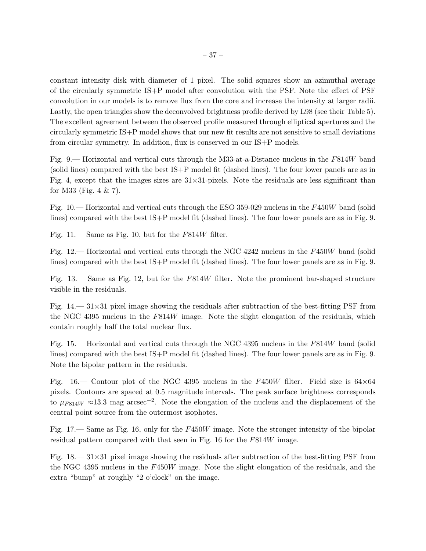constant intensity disk with diameter of 1 pixel. The solid squares show an azimuthal average of the circularly symmetric IS+P model after convolution with the PSF. Note the effect of PSF convolution in our models is to remove flux from the core and increase the intensity at larger radii. Lastly, the open triangles show the deconvolved brightness profile derived by L98 (see their Table 5). The excellent agreement between the observed profile measured through elliptical apertures and the circularly symmetric IS+P model shows that our new fit results are not sensitive to small deviations from circular symmetry. In addition, flux is conserved in our IS+P models.

Fig. 9.— Horizontal and vertical cuts through the M33-at-a-Distance nucleus in the F814W band (solid lines) compared with the best IS+P model fit (dashed lines). The four lower panels are as in Fig. 4, except that the images sizes are  $31\times31$ -pixels. Note the residuals are less significant than for M33 (Fig. 4 & 7).

Fig. 10.— Horizontal and vertical cuts through the ESO 359-029 nucleus in the F450W band (solid lines) compared with the best IS+P model fit (dashed lines). The four lower panels are as in Fig. 9.

Fig.  $11$ — Same as Fig. 10, but for the  $F814W$  filter.

Fig. 12.— Horizontal and vertical cuts through the NGC 4242 nucleus in the F450W band (solid lines) compared with the best IS+P model fit (dashed lines). The four lower panels are as in Fig. 9.

Fig. 13.— Same as Fig. 12, but for the F814W filter. Note the prominent bar-shaped structure visible in the residuals.

Fig.  $14.$   $-31\times31$  pixel image showing the residuals after subtraction of the best-fitting PSF from the NGC 4395 nucleus in the F814W image. Note the slight elongation of the residuals, which contain roughly half the total nuclear flux.

Fig. 15.— Horizontal and vertical cuts through the NGC 4395 nucleus in the F814W band (solid lines) compared with the best IS+P model fit (dashed lines). The four lower panels are as in Fig. 9. Note the bipolar pattern in the residuals.

Fig. 16.— Contour plot of the NGC 4395 nucleus in the F450W filter. Field size is  $64\times64$ pixels. Contours are spaced at 0.5 magnitude intervals. The peak surface brightness corresponds to  $\mu_{F814W} \approx 13.3$  mag arcsec<sup>-2</sup>. Note the elongation of the nucleus and the displacement of the central point source from the outermost isophotes.

Fig. 17.— Same as Fig. 16, only for the F450W image. Note the stronger intensity of the bipolar residual pattern compared with that seen in Fig. 16 for the F814W image.

Fig.  $18 - 31 \times 31$  pixel image showing the residuals after subtraction of the best-fitting PSF from the NGC 4395 nucleus in the F450W image. Note the slight elongation of the residuals, and the extra "bump" at roughly "2 o'clock" on the image.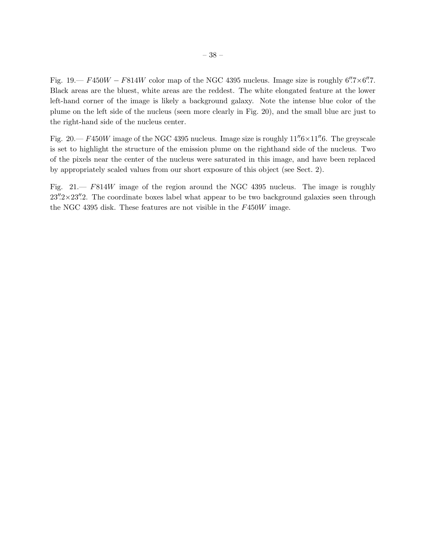Fig. 19.—  $F450W - F814W$  color map of the NGC 4395 nucleus. Image size is roughly 6".7×6".7. Black areas are the bluest, white areas are the reddest. The white elongated feature at the lower left-hand corner of the image is likely a background galaxy. Note the intense blue color of the plume on the left side of the nucleus (seen more clearly in Fig. 20), and the small blue arc just to the right-hand side of the nucleus center.

Fig.  $20 - F450W$  image of the NGC 4395 nucleus. Image size is roughly  $11\overset{''}{.}6 \times 11\overset{''}{.}6$ . The greyscale is set to highlight the structure of the emission plume on the righthand side of the nucleus. Two of the pixels near the center of the nucleus were saturated in this image, and have been replaced by appropriately scaled values from our short exposure of this object (see Sect. 2).

Fig. 21.— F814W image of the region around the NGC 4395 nucleus. The image is roughly  $23''\cdot 2 \times 23''\cdot 2$ . The coordinate boxes label what appear to be two background galaxies seen through the NGC 4395 disk. These features are not visible in the F450W image.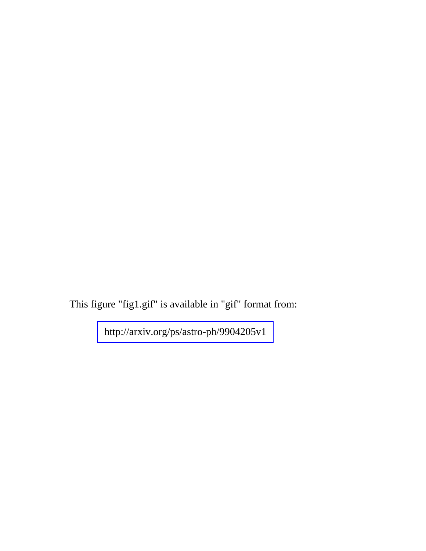This figure "fig1.gif" is available in "gif" format from: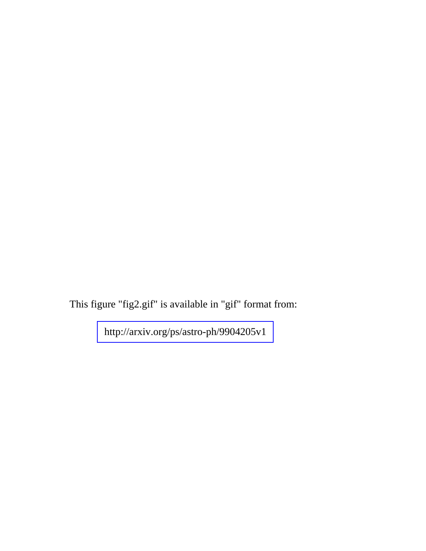This figure "fig2.gif" is available in "gif" format from: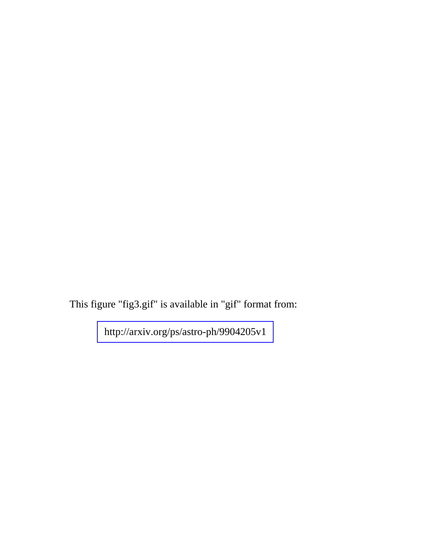This figure "fig3.gif" is available in "gif" format from: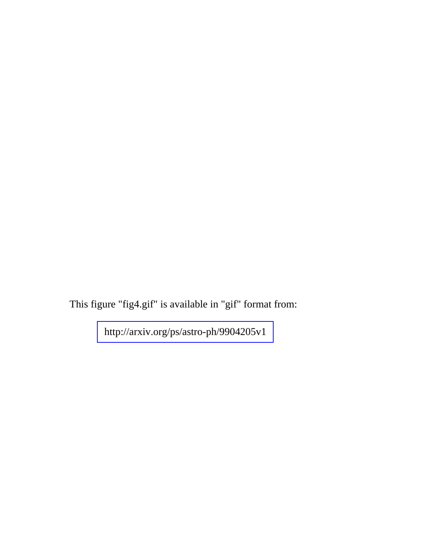This figure "fig4.gif" is available in "gif" format from: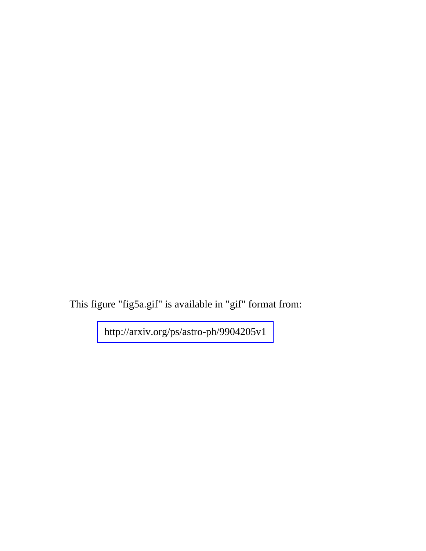This figure "fig5a.gif" is available in "gif" format from: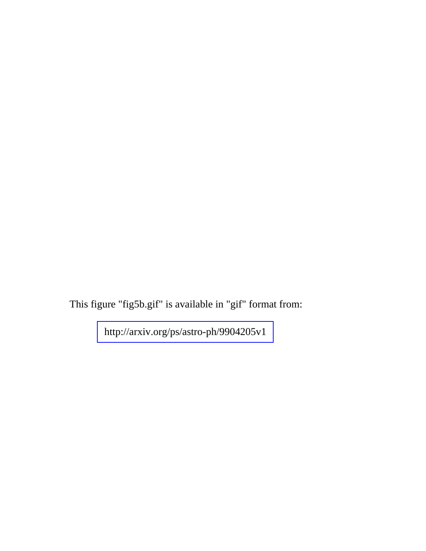This figure "fig5b.gif" is available in "gif" format from: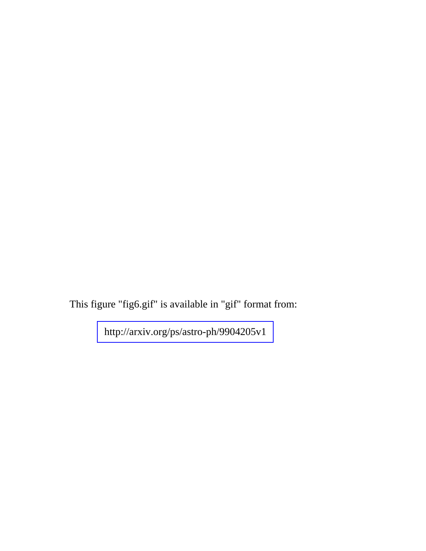This figure "fig6.gif" is available in "gif" format from: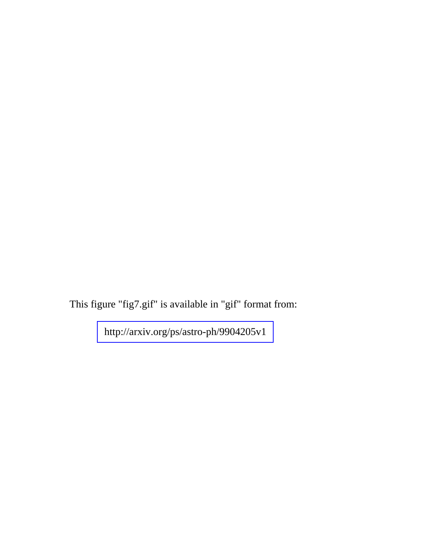This figure "fig7.gif" is available in "gif" format from: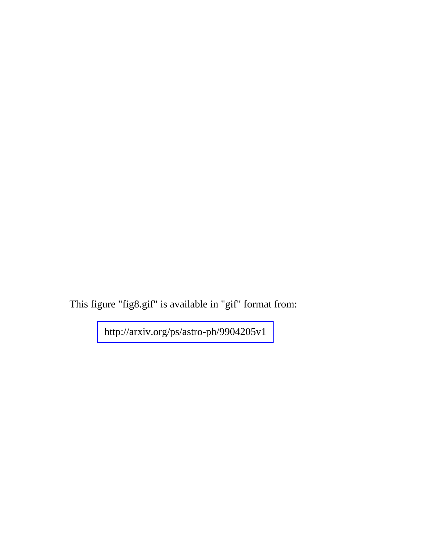This figure "fig8.gif" is available in "gif" format from: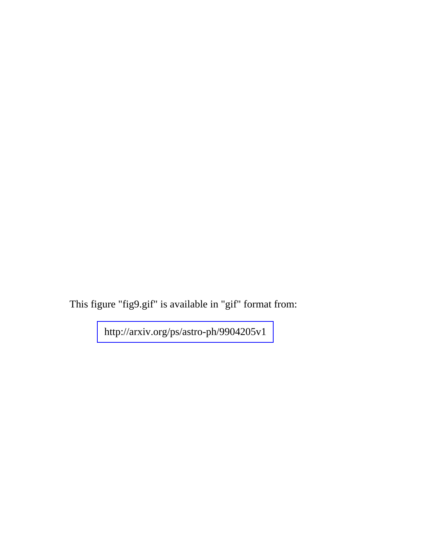This figure "fig9.gif" is available in "gif" format from: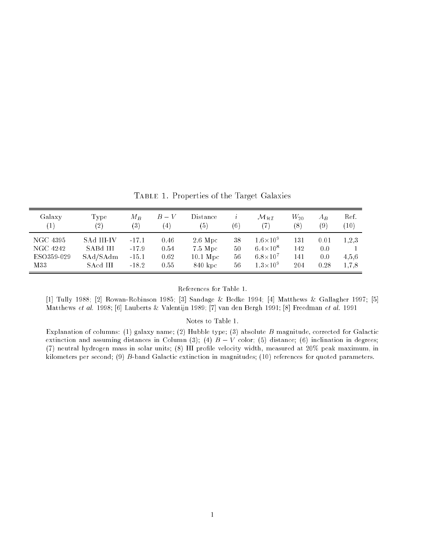Galaxy Type  $M_B$   $B-V$  Distance i  $\mathcal{M}_{\mathcal{H}\mathcal{I}}$   $W_{20}$   $A_B$  Ref. (1) (2) (3) (4) (5) (6) (7) (8) (9) (10) NGC 4395 SAd III-IV -17.1 0.46 2.6 Mpc 38  $1.6\times10^9$ 131 0.01 1,2,3  $\text{NGC 4242} \qquad \text{SABd III} \qquad \text{-17.9} \qquad 0.54 \qquad \text{7.5 Mpc} \qquad \text{50}$  $6.4 \times 10^8$ 142 0.0 1 ESO359-029 SAd/SAdm -15.1 0.62 10.1 Mpc 56  $6.8 \times 10^{7}$ 141 0.0 4,5,6 M33 SAcd III -18.2 0.55 840 kpc 56  $1.3 \times 10^{9}$ 204 0.28 1,7,8

Table 1. Properties of the Target Galaxies

References for Table 1.

[1] Tully 1988; [2] Rowan-Robinson 1985; [3] Sandage & Bedke 1994; [4] Matthews & Gallagher 1997; [5] Matthews et al. 1998; [6] Lauberts & Valentijn 1989; [7] van den Bergh 1991; [8] Freedman et al. 1991

Notes to Table 1.

Explanation of columns: (1) galaxy name; (2) Hubble type; (3) absolute B magnitude, corrected for Galactic extinction and assuming distances in Column (3); (4)  $B - V$  color; (5) distance; (6) inclination in degrees; (7) neutral hydrogen mass in solar units; (8) HI profile velocity width, measured at 20% peak maximum, in kilometers per second; (9) B-band Galactic extinction in magnitudes; (10) references for quoted parameters.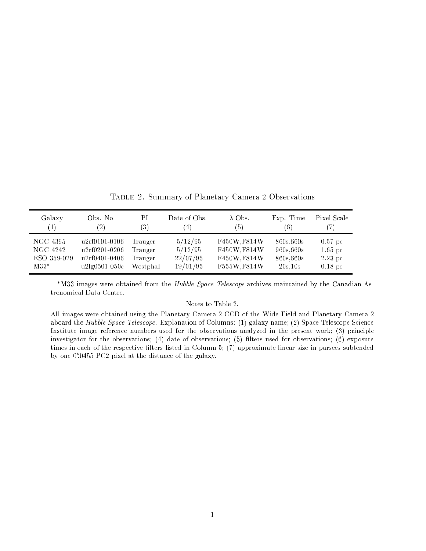Galaxy Obs. No. PI Date of Obs.  $\lambda$  Obs. Exp. Time Pixel Scale (1) (2) (3) (4) (5) (6) (7) NGC 4395 u2rf0101-0106 Trauger 5/12/95 F450W,F814W 860s,660s 0.57 pc NGC 4242 u2rf0201-0206 Trauger 5/12/95 F450W,F814W 960s,660s 1.65 pc ESO 359-029 u2rf0401-0406 Trauger 22/07/95 F450W,F814W 860s,660s 2.23 pc M33 u2lg0501-050c Westphal 19/01/95 F555W,F814W 20s,10s 0.18 pc

Table 2. Summary of Planetary Camera 2 Observations

\*M33 images were obtained from the Hubble Space Telescope archives maintained by the Canadian Astronomical Data Centre.

#### Notes to Table 2.

All images were obtained using the Planetary Camera 2 CCD of the Wide Field and Planetary Camera 2 aboard the Hubble Space Telescope. Explanation of Columns: (1) galaxy name; (2) Space Telescope Science Institute image reference numbers used for the observations analyzed in the present work; (3) principle investigator for the observations;  $(4)$  date of observations;  $(5)$  filters used for observations;  $(6)$  exposure times in each of the respective filters listed in Column 5; (7) approximate linear size in parsecs subtended by one  $0.0455$  PCZ pixel at the distance of the galaxy.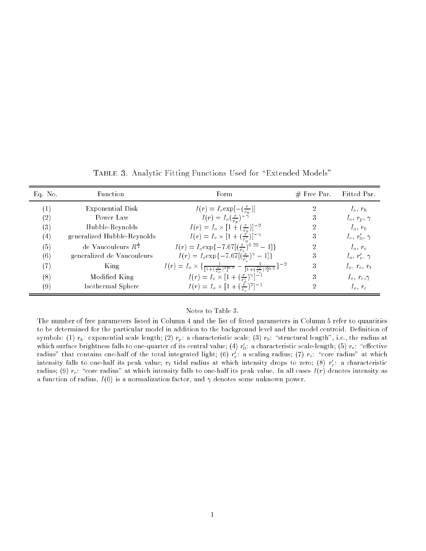| Eq. No. | Function                         | Form                                                                                                                          | $#$ Free Par. | Fitted Par.         |
|---------|----------------------------------|-------------------------------------------------------------------------------------------------------------------------------|---------------|---------------------|
|         | Exponential Disk                 | $I(r) = I_o \exp[-(\frac{r}{r_b})]$                                                                                           |               | $I_o$ , $r_h$       |
| (2)     | Power Law                        | $I(r) = I_o(\frac{r}{r_p})^{-\gamma}$                                                                                         | 3             | $I_o, r_p, \gamma$  |
| (3)     | Hubble-Reynolds                  | $I(r) = I_o \times [1 + (\frac{r}{r_o})]^{-2}$                                                                                | 2             | $I_o, r_0$          |
| (4)     | generalized Hubble-Reynolds      | $I(r) = I_o \times [1 + (\frac{r}{r'})]^{-\gamma}$                                                                            | 3             | $I_o, r'_0, \gamma$ |
| (5)     | de Vaucouleurs $R^{\frac{1}{4}}$ | $I(r) = I_o \exp\{-7.67 \left[\left(\frac{r}{r_{\star}}\right)^{0.25} - 1\right]\}$                                           | 2             | $I_o, r_e$          |
| (6)     | generalized de Vaucouleurs       | $I(r) = I_o \exp\{-7.67[(\frac{r}{r'})^{\gamma} - 1]\}$                                                                       | 3             | $I_o, r'_e, \gamma$ |
| (7)     | King                             | $I(r) = I_o \times \left\{ \frac{1}{[1 + (\frac{r}{r_c})^2]^{0.5}} - \frac{1}{[1 + (\frac{r_t}{r_c})^2]^{0.5}} \right\}^{-2}$ | 3             | $I_o, r_c, r_t$     |
| (8)     | Modified King                    | $I(r) = I_o \times [1 + (\frac{r}{r})^{\gamma}]^{-1}$                                                                         | 3             | $I_o, r_c, \gamma$  |
| (9)     | Isothermal Sphere                | $I(r) = I_o \times [1 + (\frac{\tilde{r}}{r_c})^2]^{-1}$                                                                      | 2             | $I_o, r_c$          |

TABLE 3. Analytic Fitting Functions Used for "Extended Models"

## Notes to Table 3.

The number of free parameters listed in Column 4 and the list of fitted parameters in Column 5 refer to quantities to be determined for the particular model in addition to the background level and the model centroid. Definition of symbols: (1)  $r_h$ : exponential scale length; (2)  $r_p$ : a characteristic scale; (3)  $r_0$ : "structural length", i.e., the radius at which surface brightness falls to one-quarter of its central value; (4)  $r_0$ : a characteristic scale-length; (5)  $r_e$ :  $\,$  effective  $\,$ radius" that contains one-half of the total integrated light; (6)  $r_e$ : a scaling radius; (7)  $r_c$ : "core radius" at which intensity falls to one-half its peak value;  $r_t$  tidal radius at which intensity drops to zero; (8)  $r_c$ : a characteristic radius; (9)  $r_c$ : "core radius" at which intensity falls to one-half its peak value. In all cases  $I(r)$  denotes intensity as a function of radius,  $I(0)$  is a normalization factor, and  $\gamma$  denotes some unknown power.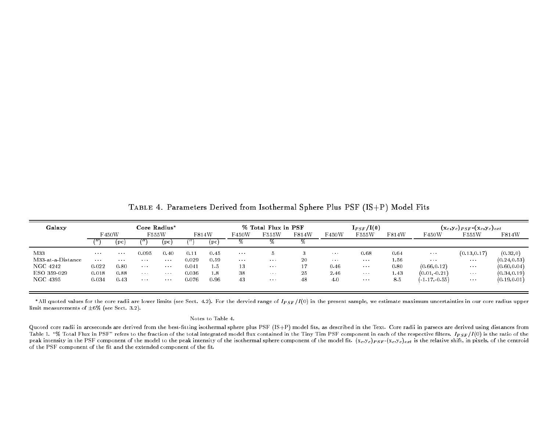| Galaxy            | Core Radius*      |                          |                          |                   |         | % Total Flux in PSF |                                |                | $I_{PSF}/I(0)$ |                          |                         | $(x_c,y_c)_{PSF}$ ( $(x_c,y_c)_{ext}$ ) |                       |                       |              |
|-------------------|-------------------|--------------------------|--------------------------|-------------------|---------|---------------------|--------------------------------|----------------|----------------|--------------------------|-------------------------|-----------------------------------------|-----------------------|-----------------------|--------------|
|                   | F450W             |                          | F555W                    |                   | F814W   |                     | F450W                          | F555W          | F814W          | 450W                     | F555W                   | F814W                                   | F450W                 | F555W                 | F814W        |
|                   |                   | (p <sub>c</sub> )        |                          | (pc)              |         | (pc)                |                                | 70             |                |                          |                         |                                         |                       |                       |              |
| M33               | <b>Contractor</b> | <b>Contract Contract</b> | 0.095                    | 0.40              | 0.11    | 0.45                | $\alpha$ , $\alpha$ , $\alpha$ |                |                | $\sim 10^{-1}$ m $^{-1}$ | 0.68                    | 0.64                                    | $\sim$ $\sim$         | (0.13, 0.17)          | (0.32, 0)    |
| M33-at-a-Distance | <b>Contractor</b> | <b>Contractor</b>        | <b>Contract Contract</b> | <b>Contractor</b> | 0.029   | 0.59                | $\sim 100$ km s $^{-1}$        | $\sim 100$     | 20             | <b>Contractor</b>        | $\sim 100$ km s $^{-1}$ | 1.56                                    | $\sim 100$ km $^{-2}$ | $\sim 100$ km $^{-1}$ | (0.24, 0.53) |
| NGC 4242          | 0.022             | 0.80                     | <b>Contract</b>          | <b>Contractor</b> | 0.041   | 1.5                 | 13                             | $\sim 100$     | 17             | 0.46                     | $\sim$ $\sim$           | 0.80                                    | (0.66.0.12)           | $\sim 100$            | (0.60, 0.04) |
| ESO 359-029       | 0.018             | 0.88                     | <b>Contractor</b>        | <b>Contractor</b> | 0 0 3 6 | 1.8                 | 38                             | <b>College</b> | 25             | 2.46                     | $\sim 100$              | 1.43                                    | (0.01, 0.21)          | <b>Contract</b>       | (0.34, 0.19) |
| NGC 4395          | 0.034             | 0.43                     | <b>Contract</b>          | <b>Contractor</b> | 0.076   | 0.96                | 43                             | $\alpha$ and   | 48             | 4.0                      | $\sim 1000$             | 85                                      | $(-1, 17, 0.55)$      | $\sim$ $\sim$         | (0.19, 0.01) |
|                   |                   |                          |                          |                   |         |                     |                                |                |                |                          |                         |                                         |                       |                       |              |

 $\texttt{TABLE 4. Parameters}$  Derived from Isothermal Sphere Plus  $\texttt{PSF (IS+P)}$  Model Fits

\*All quoted values for the core radii are lower limits (see Sect. 4.2). For the dervied range of  $I_{PSF}/I(0)$  in the present sample, we estimate maximum uncertainties in our core radius upper limit measurements of  $\pm 6\%$  (see Sect. 3.2).

#### Notes to Table 4.

Quoted core radii in arcseconds are derived from the best-fitting isothermal sphere plus PSF  $\left($  IS+P) model fits, as described in the Text. Core radii in parsecs are derived using distances from Table 1. "% Total Flux in PSF" refers to the fraction of the total integrated model flux contained in the Tiny Tim PSF component in each of the respective filters.  $I_{PSF}/I(0)$  is the ratio of the ratio of the ratio of the peak intensity in the PSF component of the model to the peak intensity of the isothermal sphere component of the model fit.  $(x_c, y_c)_{PSF}$ - $(x_c, y_c)_{ext}$  is the relative shift, in pixels, of the centroid of the PSF component of the fit and the extended component of the fit.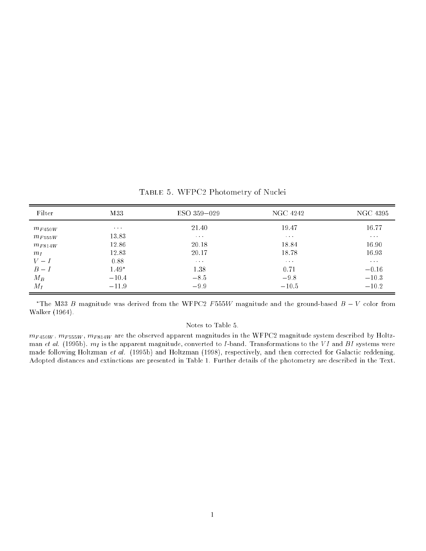| Filter                                                                                 | M33                                                                              | ESO 359-029                                                                                                   | NGC 4242                                                                                        | NGC 4395                                                                                                            |
|----------------------------------------------------------------------------------------|----------------------------------------------------------------------------------|---------------------------------------------------------------------------------------------------------------|-------------------------------------------------------------------------------------------------|---------------------------------------------------------------------------------------------------------------------|
| $m_{F450W}$<br>$m_{F555W}$<br>$m_{F814W}$<br>m <sub>L</sub><br>$V-I$<br>$B-I$<br>$M_B$ | $\sim 100$ km s $^{-1}$<br>13.83<br>12.86<br>12.83<br>0.88<br>$1.49*$<br>$-10.4$ | 21.40<br>$\alpha$ , $\alpha$ , $\alpha$<br>20.18<br>20.17<br>$\alpha$ , $\alpha$ , $\alpha$<br>1.38<br>$-8.5$ | 19.47<br>$\alpha$ , $\alpha$ , $\alpha$<br>18.84<br>18.78<br>$\sim$ 100 $\pm$<br>0.71<br>$-9.8$ | 16.77<br>$\alpha$ , $\alpha$ , $\alpha$ ,<br>16.90<br>16.93<br>$\alpha$ , $\alpha$ , $\alpha$<br>$-0.16$<br>$-10.3$ |
| $M_I$                                                                                  | $-11.9$                                                                          | $-9.9$                                                                                                        | $-10.5$                                                                                         | $-10.2$                                                                                                             |

Table 5. WFPC2 Photometry of Nuclei

The M55  $B$  magnitude was derived from the WFPC2 F 555W magnitude and the ground-based  $B = V$  color from Walker (1964).

## Notes to Table 5.

 $m_{F450W}$ ,  $m_{F555W}$ ,  $m_{F814W}$  are the observed apparent magnitudes in the WFPC2 magnitude system described by Holtzman et al. (1995b).  $m_I$  is the apparent magnitude, converted to I-band. Transformations to the VI and BI systems were made following Holtzman et al. (1995b) and Holtzman (1998), respectively, and then corrected for Galactic reddening. Adopted distances and extinctions are presented in Table 1. Further details of the photometry are described in the Text.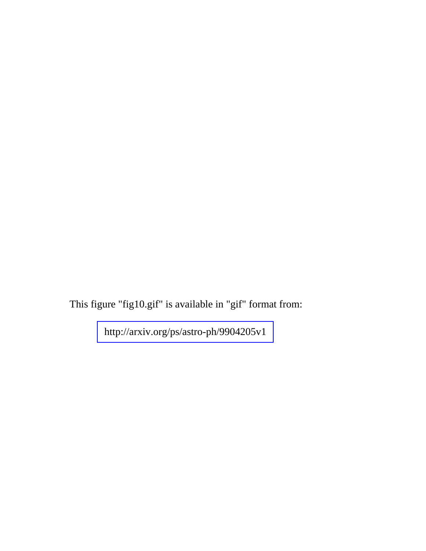This figure "fig10.gif" is available in "gif" format from: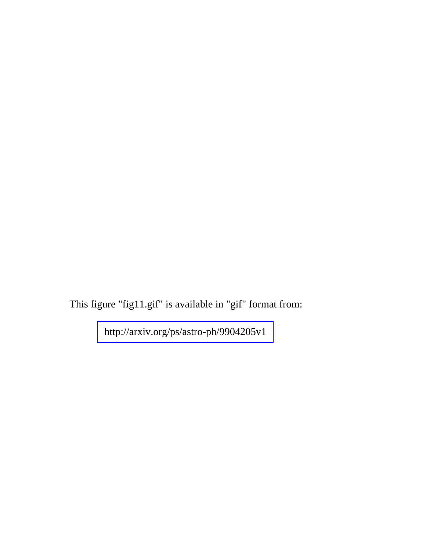This figure "fig11.gif" is available in "gif" format from: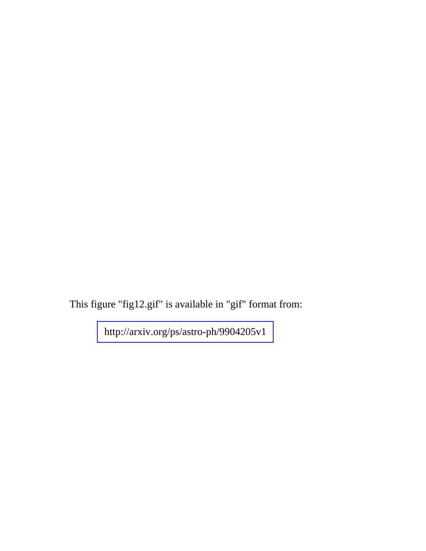This figure "fig12.gif" is available in "gif" format from: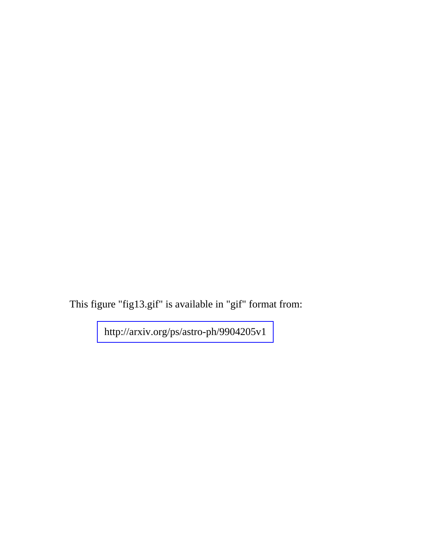This figure "fig13.gif" is available in "gif" format from: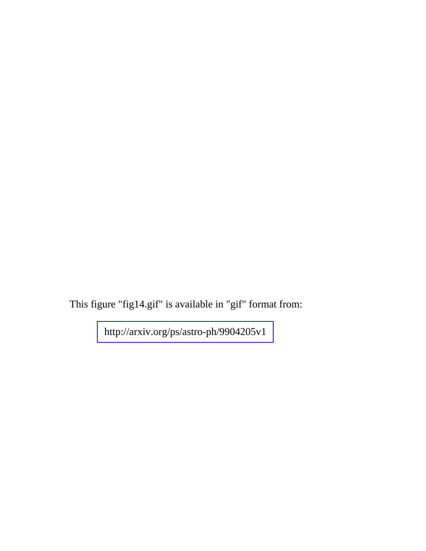This figure "fig14.gif" is available in "gif" format from: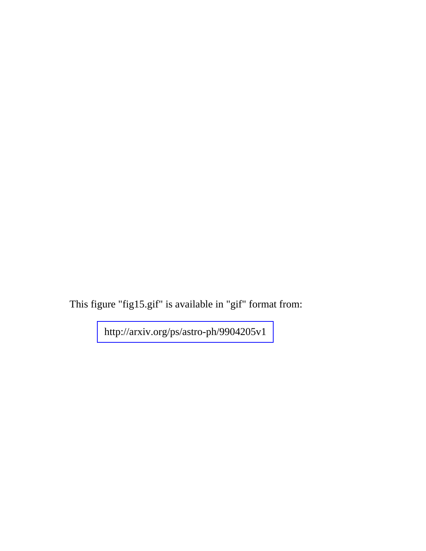This figure "fig15.gif" is available in "gif" format from: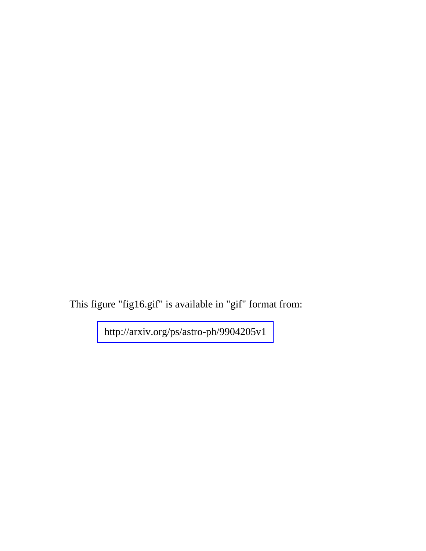This figure "fig16.gif" is available in "gif" format from: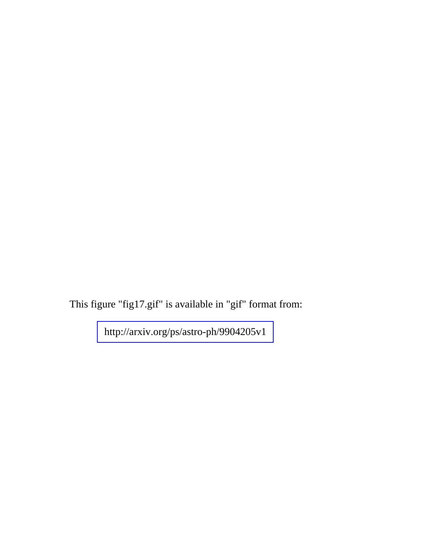This figure "fig17.gif" is available in "gif" format from: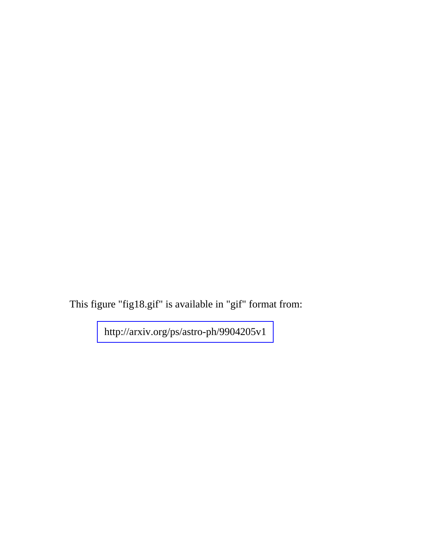This figure "fig18.gif" is available in "gif" format from: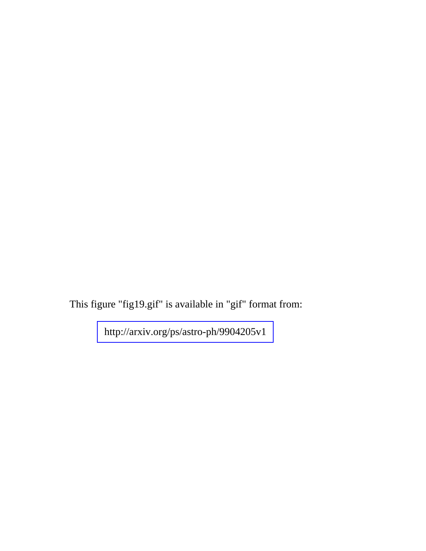This figure "fig19.gif" is available in "gif" format from: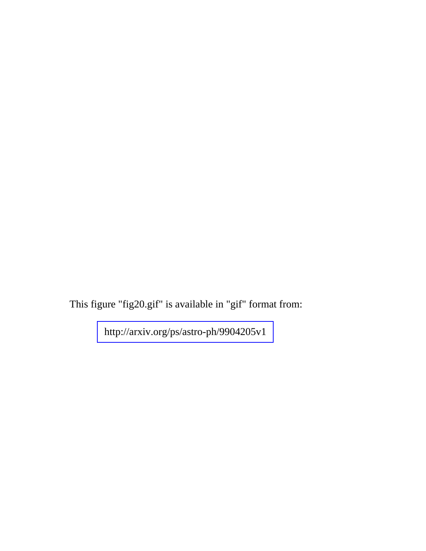This figure "fig20.gif" is available in "gif" format from: